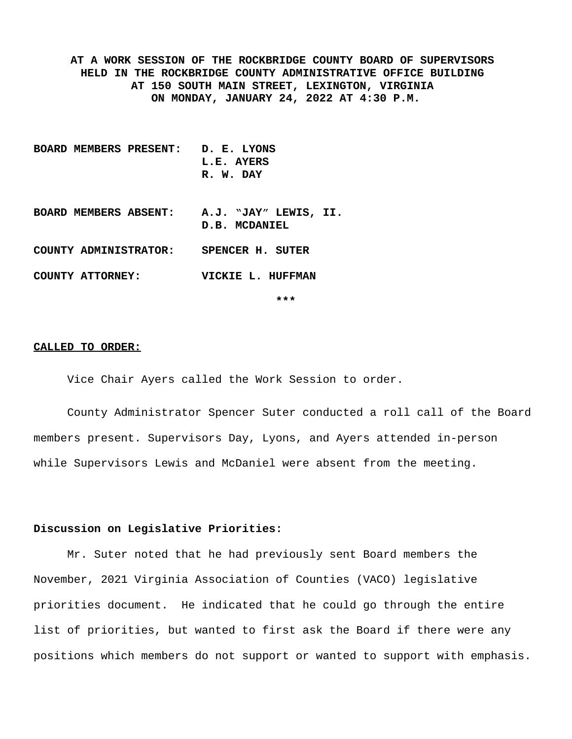**AT A WORK SESSION OF THE ROCKBRIDGE COUNTY BOARD OF SUPERVISORS HELD IN THE ROCKBRIDGE COUNTY ADMINISTRATIVE OFFICE BUILDING AT 150 SOUTH MAIN STREET, LEXINGTON, VIRGINIA ON MONDAY, JANUARY 24, 2022 AT 4:30 P.M.**

- **BOARD MEMBERS PRESENT: D. E. LYONS L.E. AYERS R. W. DAY BOARD MEMBERS ABSENT: A.J. "JAY" LEWIS, II. D.B. MCDANIEL COUNTY ADMINISTRATOR: SPENCER H. SUTER**
- **COUNTY ATTORNEY: VICKIE L. HUFFMAN**

**\*\*\***

#### **CALLED TO ORDER:**

Vice Chair Ayers called the Work Session to order.

County Administrator Spencer Suter conducted a roll call of the Board members present. Supervisors Day, Lyons, and Ayers attended in-person while Supervisors Lewis and McDaniel were absent from the meeting.

### **Discussion on Legislative Priorities:**

Mr. Suter noted that he had previously sent Board members the November, 2021 Virginia Association of Counties (VACO) legislative priorities document. He indicated that he could go through the entire list of priorities, but wanted to first ask the Board if there were any positions which members do not support or wanted to support with emphasis.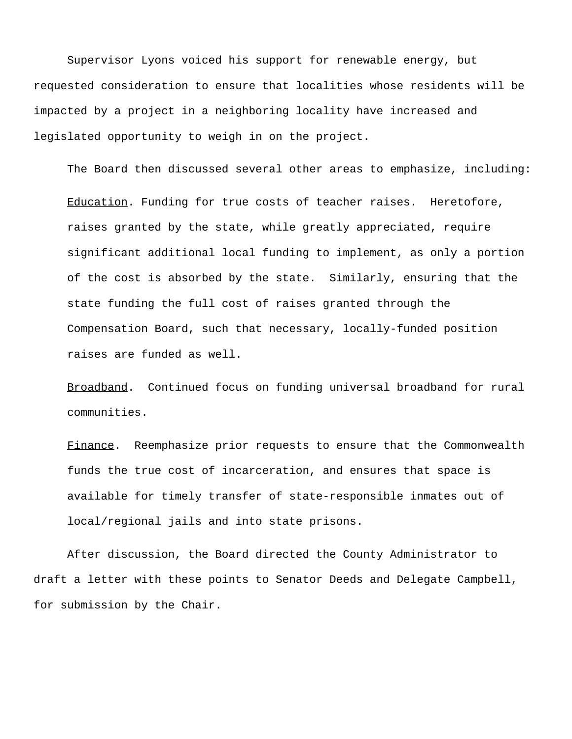Supervisor Lyons voiced his support for renewable energy, but requested consideration to ensure that localities whose residents will be impacted by a project in a neighboring locality have increased and legislated opportunity to weigh in on the project.

The Board then discussed several other areas to emphasize, including:

Education. Funding for true costs of teacher raises. Heretofore, raises granted by the state, while greatly appreciated, require significant additional local funding to implement, as only a portion of the cost is absorbed by the state. Similarly, ensuring that the state funding the full cost of raises granted through the Compensation Board, such that necessary, locally-funded position raises are funded as well.

Broadband. Continued focus on funding universal broadband for rural communities.

Finance. Reemphasize prior requests to ensure that the Commonwealth funds the true cost of incarceration, and ensures that space is available for timely transfer of state-responsible inmates out of local/regional jails and into state prisons.

After discussion, the Board directed the County Administrator to draft a letter with these points to Senator Deeds and Delegate Campbell, for submission by the Chair.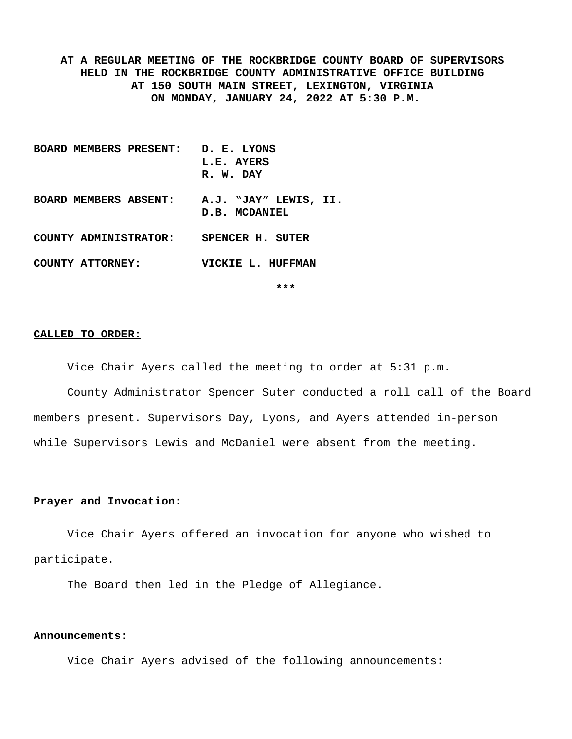**AT A REGULAR MEETING OF THE ROCKBRIDGE COUNTY BOARD OF SUPERVISORS HELD IN THE ROCKBRIDGE COUNTY ADMINISTRATIVE OFFICE BUILDING AT 150 SOUTH MAIN STREET, LEXINGTON, VIRGINIA ON MONDAY, JANUARY 24, 2022 AT 5:30 P.M.**

**BOARD MEMBERS PRESENT: D. E. LYONS L.E. AYERS R. W. DAY BOARD MEMBERS ABSENT: A.J. "JAY" LEWIS, II. D.B. MCDANIEL COUNTY ADMINISTRATOR: SPENCER H. SUTER COUNTY ATTORNEY: VICKIE L. HUFFMAN**

**\*\*\***

#### **CALLED TO ORDER:**

Vice Chair Ayers called the meeting to order at 5:31 p.m.

County Administrator Spencer Suter conducted a roll call of the Board members present. Supervisors Day, Lyons, and Ayers attended in-person while Supervisors Lewis and McDaniel were absent from the meeting.

#### **Prayer and Invocation:**

Vice Chair Ayers offered an invocation for anyone who wished to participate.

The Board then led in the Pledge of Allegiance.

#### **Announcements:**

Vice Chair Ayers advised of the following announcements: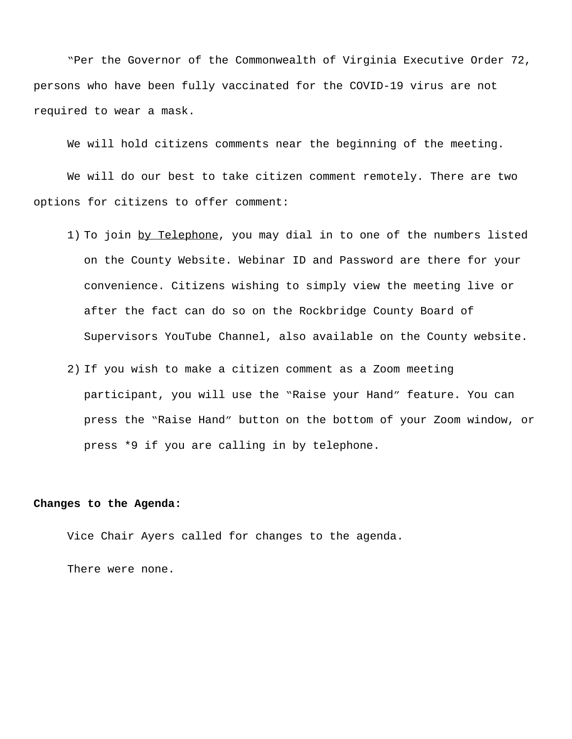"Per the Governor of the Commonwealth of Virginia Executive Order 72, persons who have been fully vaccinated for the COVID-19 virus are not required to wear a mask.

We will hold citizens comments near the beginning of the meeting.

We will do our best to take citizen comment remotely. There are two options for citizens to offer comment:

- 1) To join by Telephone, you may dial in to one of the numbers listed on the County Website. Webinar ID and Password are there for your convenience. Citizens wishing to simply view the meeting live or after the fact can do so on the Rockbridge County Board of Supervisors YouTube Channel, also available on the County website.
- 2) If you wish to make a citizen comment as a Zoom meeting participant, you will use the "Raise your Hand" feature. You can press the "Raise Hand" button on the bottom of your Zoom window, or press \*9 if you are calling in by telephone.

#### **Changes to the Agenda:**

Vice Chair Ayers called for changes to the agenda.

There were none.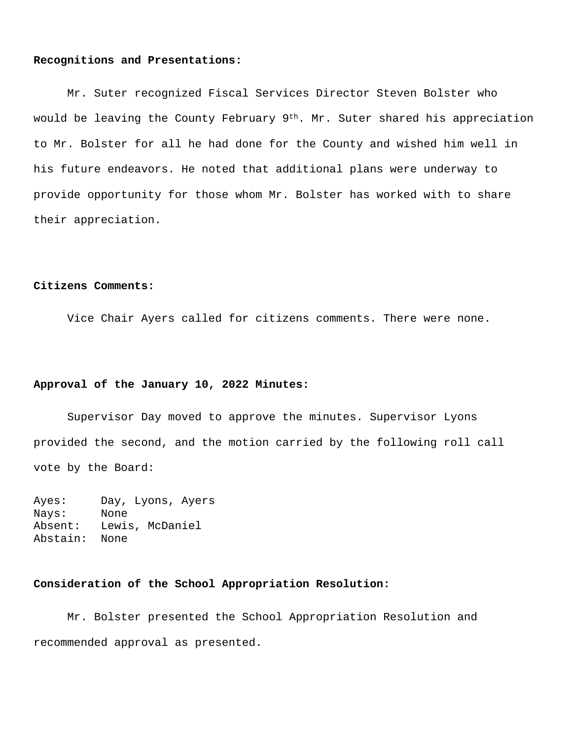#### **Recognitions and Presentations:**

Mr. Suter recognized Fiscal Services Director Steven Bolster who would be leaving the County February 9<sup>th</sup>. Mr. Suter shared his appreciation to Mr. Bolster for all he had done for the County and wished him well in his future endeavors. He noted that additional plans were underway to provide opportunity for those whom Mr. Bolster has worked with to share their appreciation.

#### **Citizens Comments:**

Vice Chair Ayers called for citizens comments. There were none.

### **Approval of the January 10, 2022 Minutes:**

Supervisor Day moved to approve the minutes. Supervisor Lyons provided the second, and the motion carried by the following roll call vote by the Board:

Ayes: Day, Lyons, Ayers Nays: None Absent: Lewis, McDaniel Abstain: None

### **Consideration of the School Appropriation Resolution:**

Mr. Bolster presented the School Appropriation Resolution and recommended approval as presented.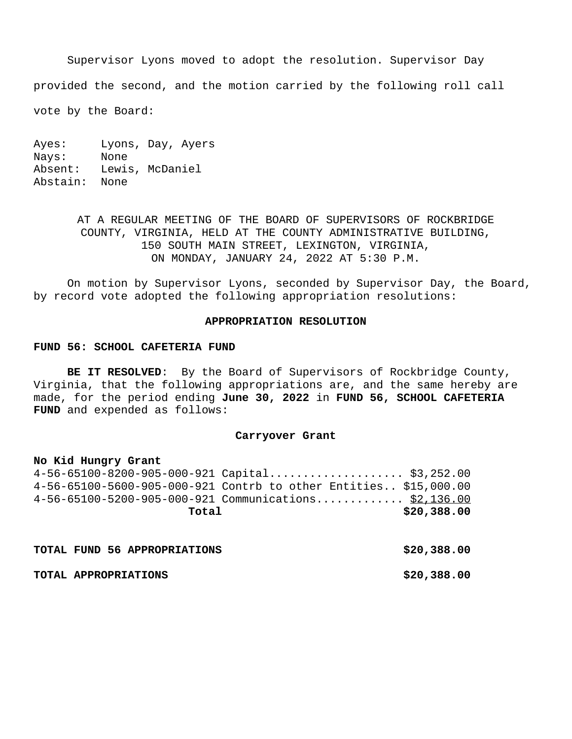Supervisor Lyons moved to adopt the resolution. Supervisor Day provided the second, and the motion carried by the following roll call

vote by the Board:

Ayes: Lyons, Day, Ayers Nays: None Absent: Lewis, McDaniel Abstain: None

> AT A REGULAR MEETING OF THE BOARD OF SUPERVISORS OF ROCKBRIDGE COUNTY, VIRGINIA, HELD AT THE COUNTY ADMINISTRATIVE BUILDING, 150 SOUTH MAIN STREET, LEXINGTON, VIRGINIA, ON MONDAY, JANUARY 24, 2022 AT 5:30 P.M.

On motion by Supervisor Lyons, seconded by Supervisor Day, the Board, by record vote adopted the following appropriation resolutions:

#### **APPROPRIATION RESOLUTION**

#### **FUND 56: SCHOOL CAFETERIA FUND**

**BE IT RESOLVED**: By the Board of Supervisors of Rockbridge County, Virginia, that the following appropriations are, and the same hereby are made, for the period ending **June 30, 2022** in **FUND 56, SCHOOL CAFETERIA FUND** and expended as follows:

#### **Carryover Grant**

### **No Kid Hungry Grant**

4-56-65100-8200-905-000-921 Capital.................... \$3,252.00 4-56-65100-5600-905-000-921 Contrb to other Entities.. \$15,000.00 4-56-65100-5200-905-000-921 Communications.............. \$2,136.00 **Total \$20,388.00**

|  | TOTAL FUND 56 APPROPRIATIONS | \$20,388.00 |
|--|------------------------------|-------------|
|  | TOTAL APPROPRIATIONS         | \$20,388.00 |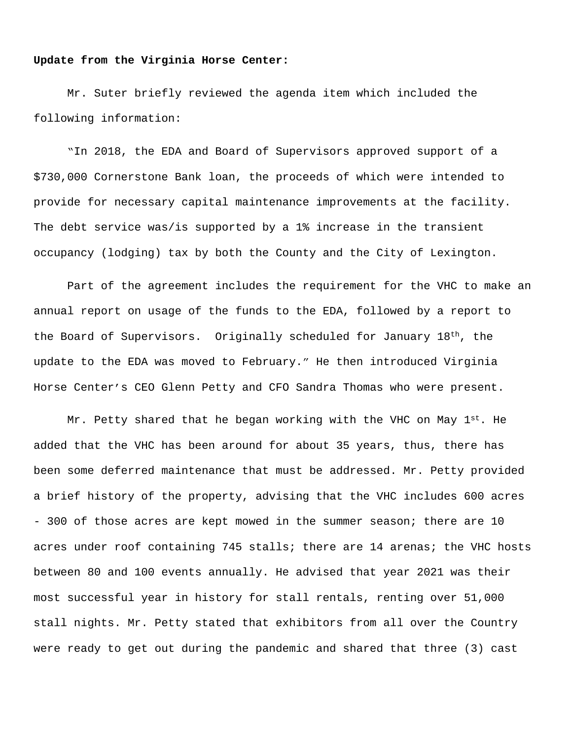#### **Update from the Virginia Horse Center:**

Mr. Suter briefly reviewed the agenda item which included the following information:

"In 2018, the EDA and Board of Supervisors approved support of a \$730,000 Cornerstone Bank loan, the proceeds of which were intended to provide for necessary capital maintenance improvements at the facility. The debt service was/is supported by a 1% increase in the transient occupancy (lodging) tax by both the County and the City of Lexington.

Part of the agreement includes the requirement for the VHC to make an annual report on usage of the funds to the EDA, followed by a report to the Board of Supervisors. Originally scheduled for January  $18<sup>th</sup>$ , the update to the EDA was moved to February." He then introduced Virginia Horse Center's CEO Glenn Petty and CFO Sandra Thomas who were present.

Mr. Petty shared that he began working with the VHC on May  $1^{st}$ . He added that the VHC has been around for about 35 years, thus, there has been some deferred maintenance that must be addressed. Mr. Petty provided a brief history of the property, advising that the VHC includes 600 acres - 300 of those acres are kept mowed in the summer season; there are 10 acres under roof containing 745 stalls; there are 14 arenas; the VHC hosts between 80 and 100 events annually. He advised that year 2021 was their most successful year in history for stall rentals, renting over 51,000 stall nights. Mr. Petty stated that exhibitors from all over the Country were ready to get out during the pandemic and shared that three (3) cast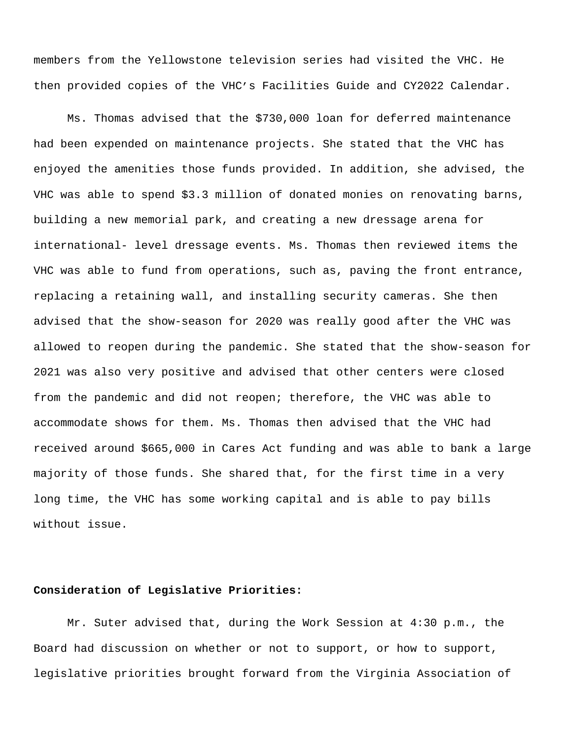members from the Yellowstone television series had visited the VHC. He then provided copies of the VHC's Facilities Guide and CY2022 Calendar.

Ms. Thomas advised that the \$730,000 loan for deferred maintenance had been expended on maintenance projects. She stated that the VHC has enjoyed the amenities those funds provided. In addition, she advised, the VHC was able to spend \$3.3 million of donated monies on renovating barns, building a new memorial park, and creating a new dressage arena for international- level dressage events. Ms. Thomas then reviewed items the VHC was able to fund from operations, such as, paving the front entrance, replacing a retaining wall, and installing security cameras. She then advised that the show-season for 2020 was really good after the VHC was allowed to reopen during the pandemic. She stated that the show-season for 2021 was also very positive and advised that other centers were closed from the pandemic and did not reopen; therefore, the VHC was able to accommodate shows for them. Ms. Thomas then advised that the VHC had received around \$665,000 in Cares Act funding and was able to bank a large majority of those funds. She shared that, for the first time in a very long time, the VHC has some working capital and is able to pay bills without issue.

### **Consideration of Legislative Priorities:**

Mr. Suter advised that, during the Work Session at 4:30 p.m., the Board had discussion on whether or not to support, or how to support, legislative priorities brought forward from the Virginia Association of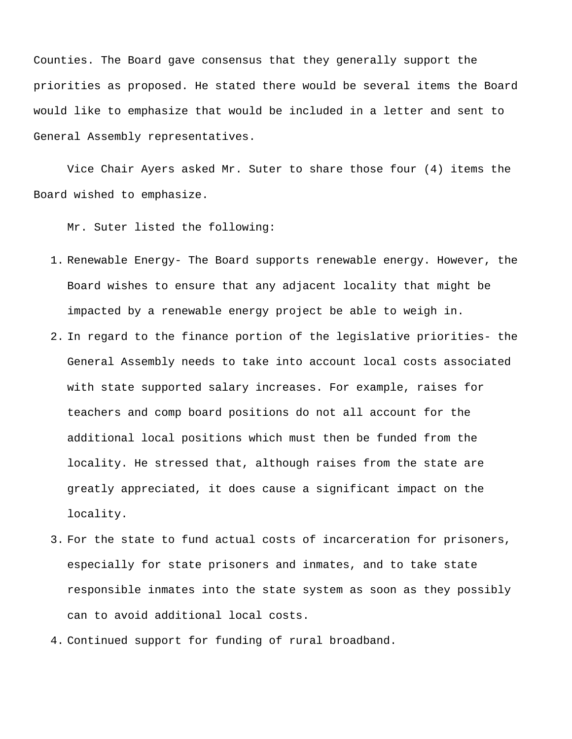Counties. The Board gave consensus that they generally support the priorities as proposed. He stated there would be several items the Board would like to emphasize that would be included in a letter and sent to General Assembly representatives.

Vice Chair Ayers asked Mr. Suter to share those four (4) items the Board wished to emphasize.

Mr. Suter listed the following:

- 1. Renewable Energy- The Board supports renewable energy. However, the Board wishes to ensure that any adjacent locality that might be impacted by a renewable energy project be able to weigh in.
- 2. In regard to the finance portion of the legislative priorities- the General Assembly needs to take into account local costs associated with state supported salary increases. For example, raises for teachers and comp board positions do not all account for the additional local positions which must then be funded from the locality. He stressed that, although raises from the state are greatly appreciated, it does cause a significant impact on the locality.
- 3. For the state to fund actual costs of incarceration for prisoners, especially for state prisoners and inmates, and to take state responsible inmates into the state system as soon as they possibly can to avoid additional local costs.
- 4. Continued support for funding of rural broadband.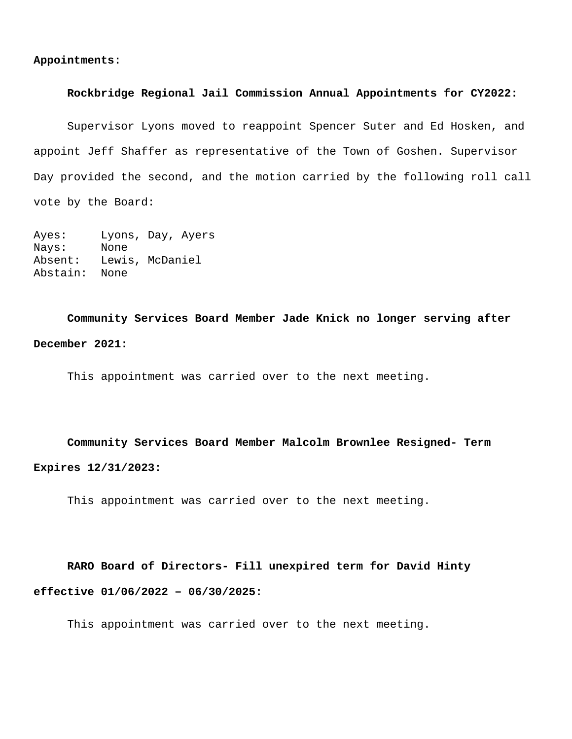### **Rockbridge Regional Jail Commission Annual Appointments for CY2022:**

Supervisor Lyons moved to reappoint Spencer Suter and Ed Hosken, and appoint Jeff Shaffer as representative of the Town of Goshen. Supervisor Day provided the second, and the motion carried by the following roll call vote by the Board:

```
Ayes: Lyons, Day, Ayers
Nays: None
Absent: Lewis, McDaniel
Abstain: None
```
**Community Services Board Member Jade Knick no longer serving after December 2021:**

This appointment was carried over to the next meeting.

**Community Services Board Member Malcolm Brownlee Resigned- Term Expires 12/31/2023:**

This appointment was carried over to the next meeting.

 **RARO Board of Directors- Fill unexpired term for David Hinty effective 01/06/2022 – 06/30/2025:**

This appointment was carried over to the next meeting.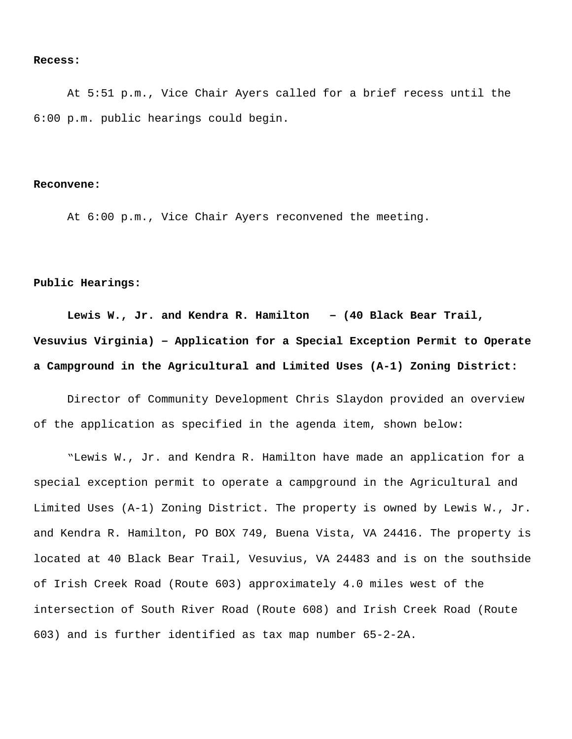#### **Recess:**

At 5:51 p.m., Vice Chair Ayers called for a brief recess until the 6:00 p.m. public hearings could begin.

#### **Reconvene:**

At 6:00 p.m., Vice Chair Ayers reconvened the meeting.

### **Public Hearings:**

**Lewis W., Jr. and Kendra R. Hamilton – (40 Black Bear Trail, Vesuvius Virginia) – Application for a Special Exception Permit to Operate a Campground in the Agricultural and Limited Uses (A-1) Zoning District:**

Director of Community Development Chris Slaydon provided an overview of the application as specified in the agenda item, shown below:

"Lewis W., Jr. and Kendra R. Hamilton have made an application for a special exception permit to operate a campground in the Agricultural and Limited Uses (A-1) Zoning District. The property is owned by Lewis W., Jr. and Kendra R. Hamilton, PO BOX 749, Buena Vista, VA 24416. The property is located at 40 Black Bear Trail, Vesuvius, VA 24483 and is on the southside of Irish Creek Road (Route 603) approximately 4.0 miles west of the intersection of South River Road (Route 608) and Irish Creek Road (Route 603) and is further identified as tax map number 65-2-2A.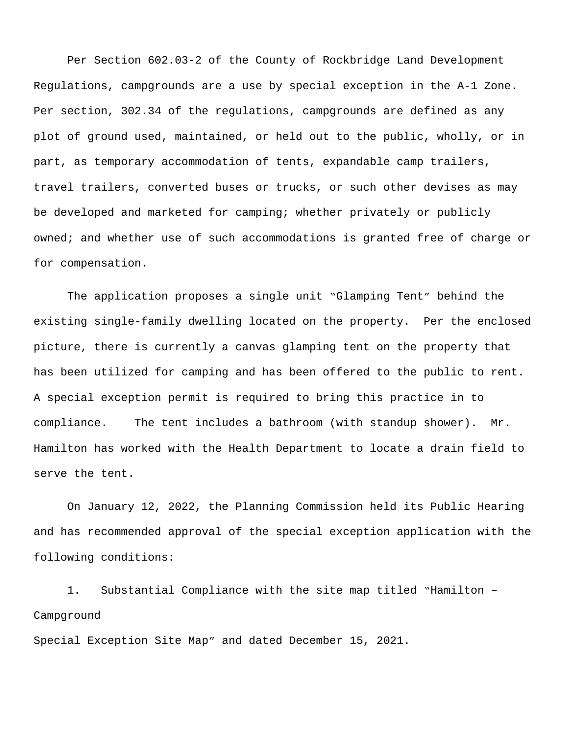Per Section 602.03-2 of the County of Rockbridge Land Development Regulations, campgrounds are a use by special exception in the A-1 Zone. Per section, 302.34 of the regulations, campgrounds are defined as any plot of ground used, maintained, or held out to the public, wholly, or in part, as temporary accommodation of tents, expandable camp trailers, travel trailers, converted buses or trucks, or such other devises as may be developed and marketed for camping; whether privately or publicly owned; and whether use of such accommodations is granted free of charge or for compensation.

The application proposes a single unit "Glamping Tent" behind the existing single-family dwelling located on the property. Per the enclosed picture, there is currently a canvas glamping tent on the property that has been utilized for camping and has been offered to the public to rent. A special exception permit is required to bring this practice in to compliance. The tent includes a bathroom (with standup shower). Mr. Hamilton has worked with the Health Department to locate a drain field to serve the tent.

On January 12, 2022, the Planning Commission held its Public Hearing and has recommended approval of the special exception application with the following conditions:

1. Substantial Compliance with the site map titled "Hamilton – Campground

Special Exception Site Map" and dated December 15, 2021.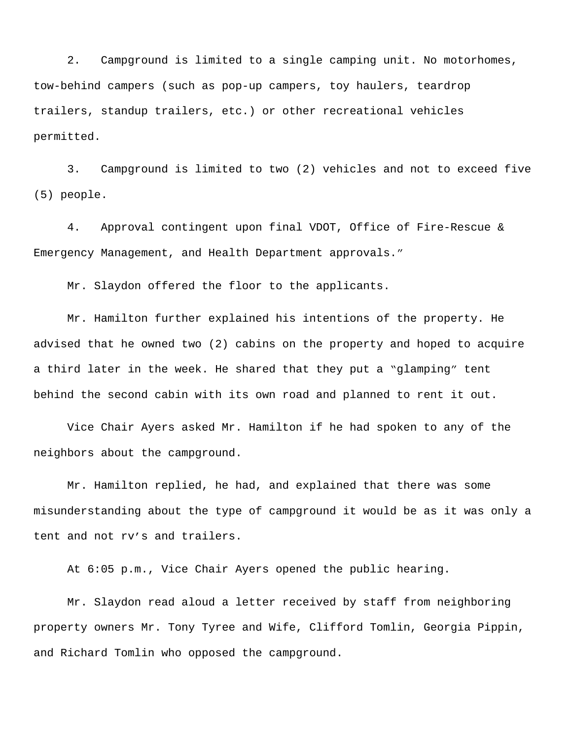2. Campground is limited to a single camping unit. No motorhomes, tow-behind campers (such as pop-up campers, toy haulers, teardrop trailers, standup trailers, etc.) or other recreational vehicles permitted.

3. Campground is limited to two (2) vehicles and not to exceed five (5) people.

4. Approval contingent upon final VDOT, Office of Fire-Rescue & Emergency Management, and Health Department approvals."

Mr. Slaydon offered the floor to the applicants.

Mr. Hamilton further explained his intentions of the property. He advised that he owned two (2) cabins on the property and hoped to acquire a third later in the week. He shared that they put a "glamping" tent behind the second cabin with its own road and planned to rent it out.

Vice Chair Ayers asked Mr. Hamilton if he had spoken to any of the neighbors about the campground.

Mr. Hamilton replied, he had, and explained that there was some misunderstanding about the type of campground it would be as it was only a tent and not rv's and trailers.

At 6:05 p.m., Vice Chair Ayers opened the public hearing.

Mr. Slaydon read aloud a letter received by staff from neighboring property owners Mr. Tony Tyree and Wife, Clifford Tomlin, Georgia Pippin, and Richard Tomlin who opposed the campground.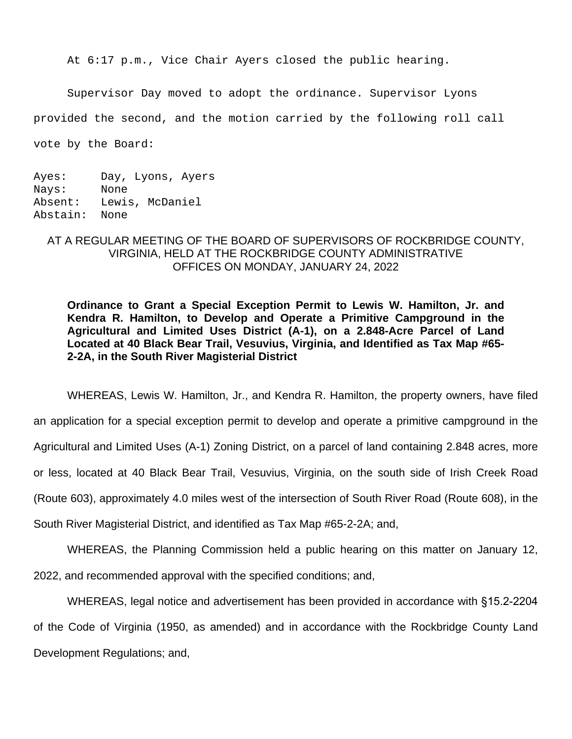At 6:17 p.m., Vice Chair Ayers closed the public hearing.

Supervisor Day moved to adopt the ordinance. Supervisor Lyons

provided the second, and the motion carried by the following roll call

vote by the Board:

Ayes: Day, Lyons, Ayers Nays: None Absent: Lewis, McDaniel Abstain: None

## AT A REGULAR MEETING OF THE BOARD OF SUPERVISORS OF ROCKBRIDGE COUNTY, VIRGINIA, HELD AT THE ROCKBRIDGE COUNTY ADMINISTRATIVE OFFICES ON MONDAY, JANUARY 24, 2022

**Ordinance to Grant a Special Exception Permit to Lewis W. Hamilton, Jr. and Kendra R. Hamilton, to Develop and Operate a Primitive Campground in the Agricultural and Limited Uses District (A-1), on a 2.848-Acre Parcel of Land Located at 40 Black Bear Trail, Vesuvius, Virginia, and Identified as Tax Map #65- 2-2A, in the South River Magisterial District**

WHEREAS, Lewis W. Hamilton, Jr., and Kendra R. Hamilton, the property owners, have filed an application for a special exception permit to develop and operate a primitive campground in the Agricultural and Limited Uses (A-1) Zoning District, on a parcel of land containing 2.848 acres, more or less, located at 40 Black Bear Trail, Vesuvius, Virginia, on the south side of Irish Creek Road (Route 603), approximately 4.0 miles west of the intersection of South River Road (Route 608), in the South River Magisterial District, and identified as Tax Map #65-2-2A; and,

WHEREAS, the Planning Commission held a public hearing on this matter on January 12, 2022, and recommended approval with the specified conditions; and,

WHEREAS, legal notice and advertisement has been provided in accordance with §15.2-2204 of the Code of Virginia (1950, as amended) and in accordance with the Rockbridge County Land Development Regulations; and,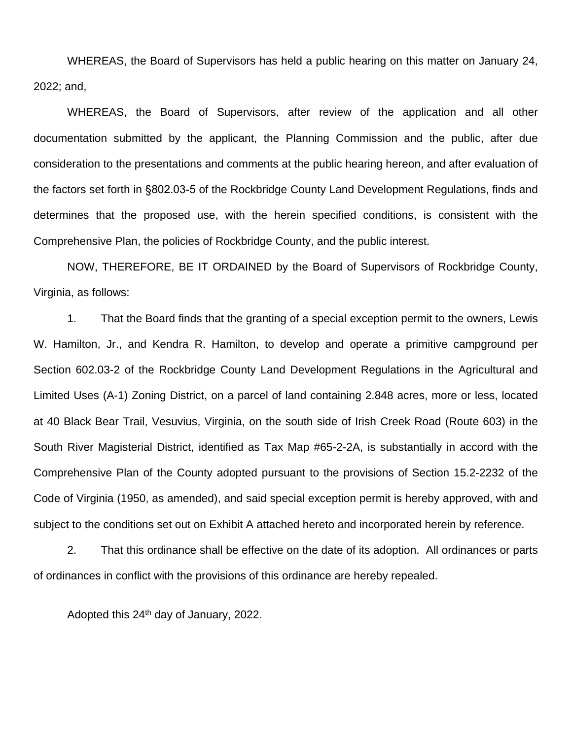WHEREAS, the Board of Supervisors has held a public hearing on this matter on January 24, 2022; and,

WHEREAS, the Board of Supervisors, after review of the application and all other documentation submitted by the applicant, the Planning Commission and the public, after due consideration to the presentations and comments at the public hearing hereon, and after evaluation of the factors set forth in §802.03-5 of the Rockbridge County Land Development Regulations, finds and determines that the proposed use, with the herein specified conditions, is consistent with the Comprehensive Plan, the policies of Rockbridge County, and the public interest.

NOW, THEREFORE, BE IT ORDAINED by the Board of Supervisors of Rockbridge County, Virginia, as follows:

1. That the Board finds that the granting of a special exception permit to the owners, Lewis W. Hamilton, Jr., and Kendra R. Hamilton, to develop and operate a primitive campground per Section 602.03-2 of the Rockbridge County Land Development Regulations in the Agricultural and Limited Uses (A-1) Zoning District, on a parcel of land containing 2.848 acres, more or less, located at 40 Black Bear Trail, Vesuvius, Virginia, on the south side of Irish Creek Road (Route 603) in the South River Magisterial District, identified as Tax Map #65-2-2A, is substantially in accord with the Comprehensive Plan of the County adopted pursuant to the provisions of Section 15.2-2232 of the Code of Virginia (1950, as amended), and said special exception permit is hereby approved, with and subject to the conditions set out on Exhibit A attached hereto and incorporated herein by reference.

2. That this ordinance shall be effective on the date of its adoption. All ordinances or parts of ordinances in conflict with the provisions of this ordinance are hereby repealed.

Adopted this 24<sup>th</sup> day of January, 2022.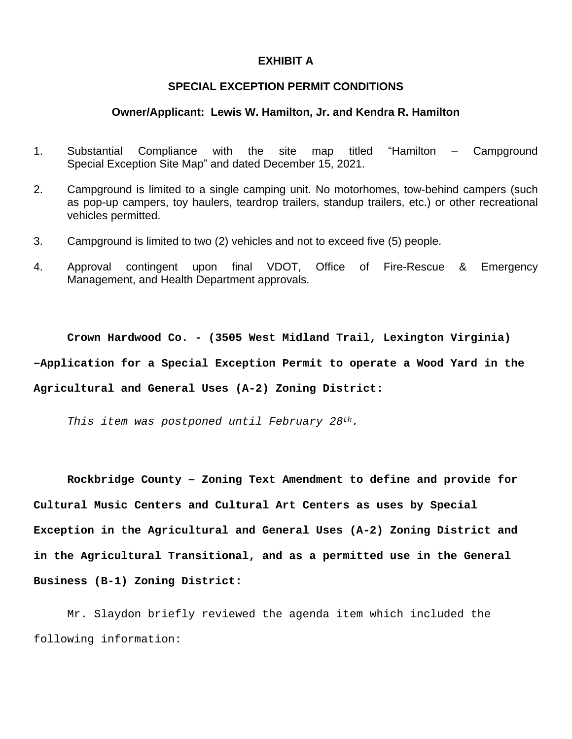### **EXHIBIT A**

## **SPECIAL EXCEPTION PERMIT CONDITIONS**

### **Owner/Applicant: Lewis W. Hamilton, Jr. and Kendra R. Hamilton**

- 1. Substantial Compliance with the site map titled "Hamilton Campground Special Exception Site Map" and dated December 15, 2021.
- 2. Campground is limited to a single camping unit. No motorhomes, tow-behind campers (such as pop-up campers, toy haulers, teardrop trailers, standup trailers, etc.) or other recreational vehicles permitted.
- 3. Campground is limited to two (2) vehicles and not to exceed five (5) people.
- 4. Approval contingent upon final VDOT, Office of Fire-Rescue & Emergency Management, and Health Department approvals.

**Crown Hardwood Co. - (3505 West Midland Trail, Lexington Virginia) –Application for a Special Exception Permit to operate a Wood Yard in the Agricultural and General Uses (A-2) Zoning District:**

*This item was postponed until February 28th.*

**Rockbridge County – Zoning Text Amendment to define and provide for Cultural Music Centers and Cultural Art Centers as uses by Special Exception in the Agricultural and General Uses (A-2) Zoning District and in the Agricultural Transitional, and as a permitted use in the General Business (B-1) Zoning District:**

Mr. Slaydon briefly reviewed the agenda item which included the following information: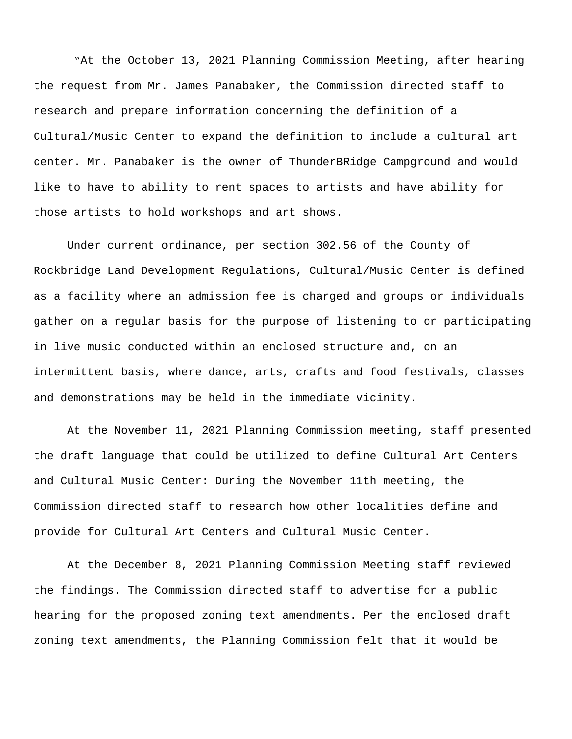"At the October 13, 2021 Planning Commission Meeting, after hearing the request from Mr. James Panabaker, the Commission directed staff to research and prepare information concerning the definition of a Cultural/Music Center to expand the definition to include a cultural art center. Mr. Panabaker is the owner of ThunderBRidge Campground and would like to have to ability to rent spaces to artists and have ability for those artists to hold workshops and art shows.

Under current ordinance, per section 302.56 of the County of Rockbridge Land Development Regulations, Cultural/Music Center is defined as a facility where an admission fee is charged and groups or individuals gather on a regular basis for the purpose of listening to or participating in live music conducted within an enclosed structure and, on an intermittent basis, where dance, arts, crafts and food festivals, classes and demonstrations may be held in the immediate vicinity.

At the November 11, 2021 Planning Commission meeting, staff presented the draft language that could be utilized to define Cultural Art Centers and Cultural Music Center: During the November 11th meeting, the Commission directed staff to research how other localities define and provide for Cultural Art Centers and Cultural Music Center.

At the December 8, 2021 Planning Commission Meeting staff reviewed the findings. The Commission directed staff to advertise for a public hearing for the proposed zoning text amendments. Per the enclosed draft zoning text amendments, the Planning Commission felt that it would be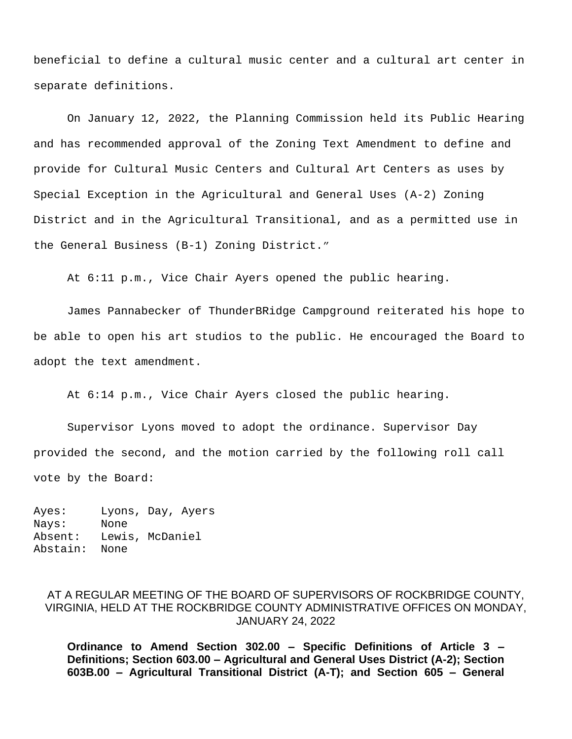beneficial to define a cultural music center and a cultural art center in separate definitions.

On January 12, 2022, the Planning Commission held its Public Hearing and has recommended approval of the Zoning Text Amendment to define and provide for Cultural Music Centers and Cultural Art Centers as uses by Special Exception in the Agricultural and General Uses (A-2) Zoning District and in the Agricultural Transitional, and as a permitted use in the General Business (B-1) Zoning District."

At 6:11 p.m., Vice Chair Ayers opened the public hearing.

James Pannabecker of ThunderBRidge Campground reiterated his hope to be able to open his art studios to the public. He encouraged the Board to adopt the text amendment.

At 6:14 p.m., Vice Chair Ayers closed the public hearing.

Supervisor Lyons moved to adopt the ordinance. Supervisor Day provided the second, and the motion carried by the following roll call vote by the Board:

Ayes: Lyons, Day, Ayers Nays: None Absent: Lewis, McDaniel Abstain: None

# AT A REGULAR MEETING OF THE BOARD OF SUPERVISORS OF ROCKBRIDGE COUNTY, VIRGINIA, HELD AT THE ROCKBRIDGE COUNTY ADMINISTRATIVE OFFICES ON MONDAY, JANUARY 24, 2022

**Ordinance to Amend Section 302.00 – Specific Definitions of Article 3 – Definitions; Section 603.00 – Agricultural and General Uses District (A-2); Section 603B.00 – Agricultural Transitional District (A-T); and Section 605 – General**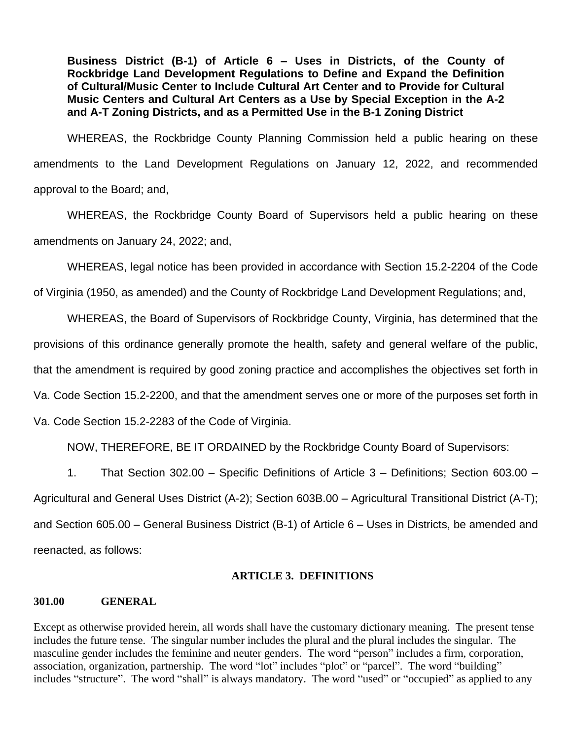**Business District (B-1) of Article 6 – Uses in Districts, of the County of Rockbridge Land Development Regulations to Define and Expand the Definition of Cultural/Music Center to Include Cultural Art Center and to Provide for Cultural Music Centers and Cultural Art Centers as a Use by Special Exception in the A-2 and A-T Zoning Districts, and as a Permitted Use in the B-1 Zoning District**

WHEREAS, the Rockbridge County Planning Commission held a public hearing on these amendments to the Land Development Regulations on January 12, 2022, and recommended approval to the Board; and,

WHEREAS, the Rockbridge County Board of Supervisors held a public hearing on these amendments on January 24, 2022; and,

WHEREAS, legal notice has been provided in accordance with Section 15.2-2204 of the Code

of Virginia (1950, as amended) and the County of Rockbridge Land Development Regulations; and,

WHEREAS, the Board of Supervisors of Rockbridge County, Virginia, has determined that the provisions of this ordinance generally promote the health, safety and general welfare of the public, that the amendment is required by good zoning practice and accomplishes the objectives set forth in Va. Code Section 15.2-2200, and that the amendment serves one or more of the purposes set forth in Va. Code Section 15.2-2283 of the Code of Virginia.

NOW, THEREFORE, BE IT ORDAINED by the Rockbridge County Board of Supervisors:

1. That Section 302.00 – Specific Definitions of Article 3 – Definitions; Section 603.00 – Agricultural and General Uses District (A-2); Section 603B.00 – Agricultural Transitional District (A-T); and Section 605.00 – General Business District (B-1) of Article 6 – Uses in Districts, be amended and reenacted, as follows:

# **ARTICLE 3. DEFINITIONS**

# **301.00 GENERAL**

Except as otherwise provided herein, all words shall have the customary dictionary meaning. The present tense includes the future tense. The singular number includes the plural and the plural includes the singular. The masculine gender includes the feminine and neuter genders. The word "person" includes a firm, corporation, association, organization, partnership. The word "lot" includes "plot" or "parcel". The word "building" includes "structure". The word "shall" is always mandatory. The word "used" or "occupied" as applied to any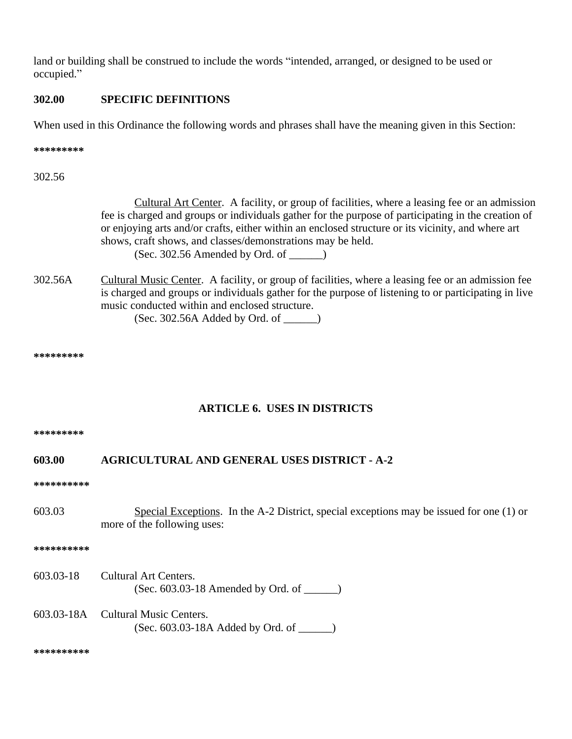land or building shall be construed to include the words "intended, arranged, or designed to be used or occupied."

## **302.00 SPECIFIC DEFINITIONS**

When used in this Ordinance the following words and phrases shall have the meaning given in this Section:

**\*\*\*\*\*\*\*\*\***

302.56

Cultural Art Center. A facility, or group of facilities, where a leasing fee or an admission fee is charged and groups or individuals gather for the purpose of participating in the creation of or enjoying arts and/or crafts, either within an enclosed structure or its vicinity, and where art shows, craft shows, and classes/demonstrations may be held.  $(Sec. 302.56$  Amended by Ord. of  $\qquad)$ 

302.56A Cultural Music Center. A facility, or group of facilities, where a leasing fee or an admission fee is charged and groups or individuals gather for the purpose of listening to or participating in live music conducted within and enclosed structure. (Sec. 302.56A Added by Ord. of \_\_\_\_\_\_)

**\*\*\*\*\*\*\*\*\***

## **ARTICLE 6. USES IN DISTRICTS**

**\*\*\*\*\*\*\*\*\***

## **603.00 AGRICULTURAL AND GENERAL USES DISTRICT - A-2**

**\*\*\*\*\*\*\*\*\*\***

603.03 Special Exceptions. In the A-2 District, special exceptions may be issued for one (1) or more of the following uses:

**\*\*\*\*\*\*\*\*\*\***

- 603.03-18 Cultural Art Centers. (Sec. 603.03-18 Amended by Ord. of \_\_\_\_\_\_)
- 603.03-18A Cultural Music Centers. (Sec. 603.03-18A Added by Ord. of \_\_\_\_\_\_)

**\*\*\*\*\*\*\*\*\*\***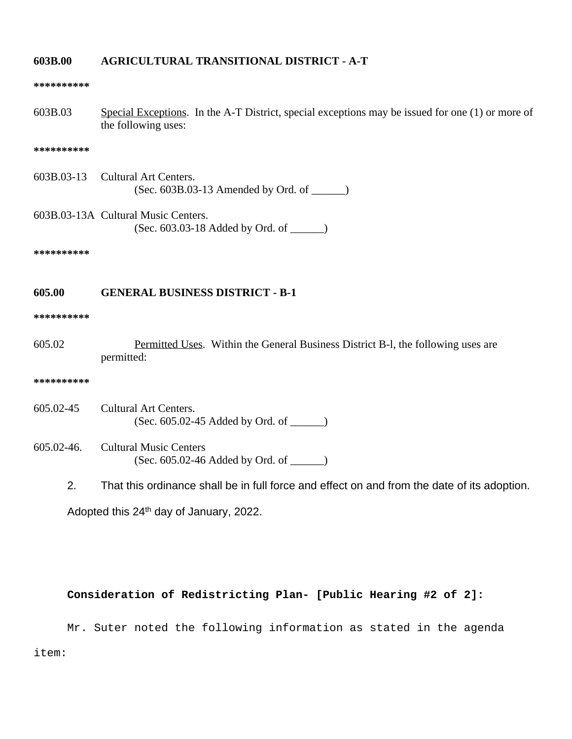### **603B.00 AGRICULTURAL TRANSITIONAL DISTRICT - A-T**

#### **\*\*\*\*\*\*\*\*\*\***

603B.03 Special Exceptions. In the A-T District, special exceptions may be issued for one (1) or more of the following uses:

#### **\*\*\*\*\*\*\*\*\*\***

- 603B.03-13 Cultural Art Centers. (Sec. 603B.03-13 Amended by Ord. of \_\_\_\_\_\_)
- 603B.03-13A Cultural Music Centers. (Sec. 603.03-18 Added by Ord. of \_\_\_\_\_\_)

**\*\*\*\*\*\*\*\*\*\***

## **605.00 GENERAL BUSINESS DISTRICT - B-1**

#### **\*\*\*\*\*\*\*\*\*\***

605.02 Permitted Uses. Within the General Business District B-l, the following uses are permitted:

#### **\*\*\*\*\*\*\*\*\*\***

- 605.02-45 Cultural Art Centers. (Sec. 605.02-45 Added by Ord. of \_\_\_\_\_\_)
- 605.02-46. Cultural Music Centers (Sec. 605.02-46 Added by Ord. of \_\_\_\_\_\_)
	- 2. That this ordinance shall be in full force and effect on and from the date of its adoption.

Adopted this 24th day of January, 2022.

## **Consideration of Redistricting Plan- [Public Hearing #2 of 2]:**

Mr. Suter noted the following information as stated in the agenda item: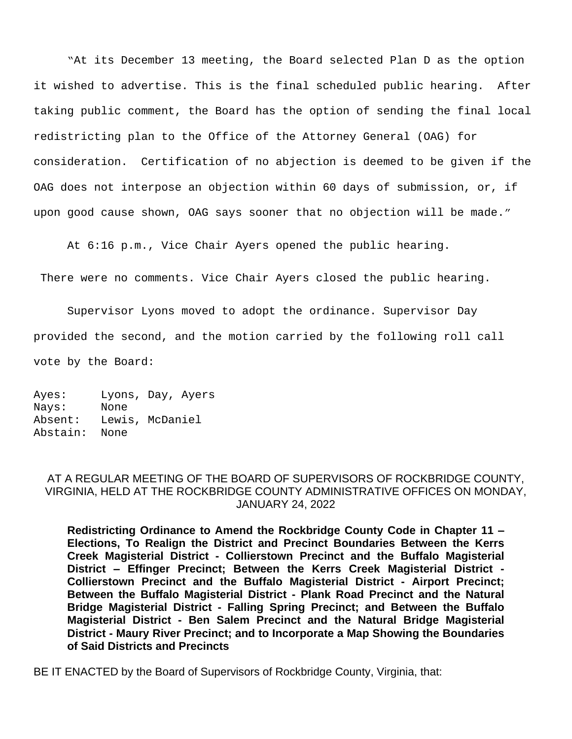"At its December 13 meeting, the Board selected Plan D as the option it wished to advertise. This is the final scheduled public hearing. After taking public comment, the Board has the option of sending the final local redistricting plan to the Office of the Attorney General (OAG) for consideration. Certification of no abjection is deemed to be given if the OAG does not interpose an objection within 60 days of submission, or, if upon good cause shown, OAG says sooner that no objection will be made."

At 6:16 p.m., Vice Chair Ayers opened the public hearing.

There were no comments. Vice Chair Ayers closed the public hearing.

Supervisor Lyons moved to adopt the ordinance. Supervisor Day provided the second, and the motion carried by the following roll call vote by the Board:

Ayes: Lyons, Day, Ayers Nays: None Absent: Lewis, McDaniel Abstain: None

## AT A REGULAR MEETING OF THE BOARD OF SUPERVISORS OF ROCKBRIDGE COUNTY, VIRGINIA, HELD AT THE ROCKBRIDGE COUNTY ADMINISTRATIVE OFFICES ON MONDAY, JANUARY 24, 2022

**Redistricting Ordinance to Amend the Rockbridge County Code in Chapter 11 – Elections, To Realign the District and Precinct Boundaries Between the Kerrs Creek Magisterial District - Collierstown Precinct and the Buffalo Magisterial District – Effinger Precinct; Between the Kerrs Creek Magisterial District - Collierstown Precinct and the Buffalo Magisterial District - Airport Precinct; Between the Buffalo Magisterial District - Plank Road Precinct and the Natural Bridge Magisterial District - Falling Spring Precinct; and Between the Buffalo Magisterial District - Ben Salem Precinct and the Natural Bridge Magisterial District - Maury River Precinct; and to Incorporate a Map Showing the Boundaries of Said Districts and Precincts**

BE IT ENACTED by the Board of Supervisors of Rockbridge County, Virginia, that: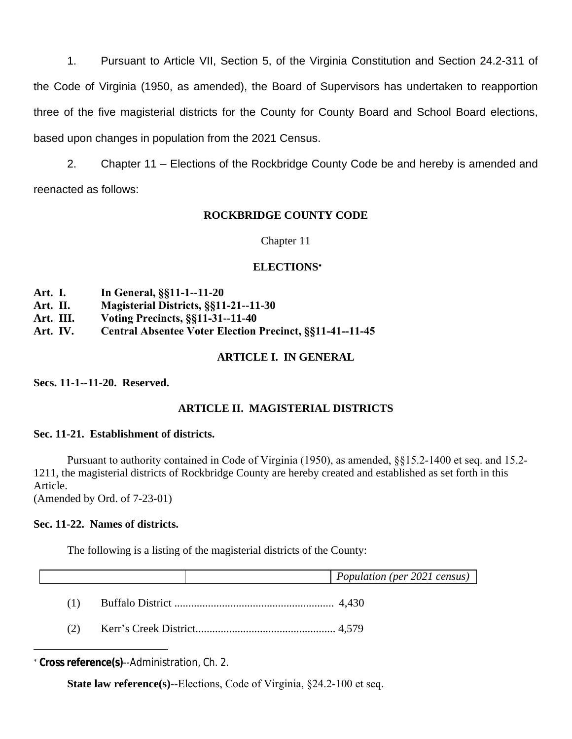1. Pursuant to Article VII, Section 5, of the Virginia Constitution and Section 24.2-311 of the Code of Virginia (1950, as amended), the Board of Supervisors has undertaken to reapportion three of the five magisterial districts for the County for County Board and School Board elections, based upon changes in population from the 2021 Census.

2. Chapter 11 – Elections of the Rockbridge County Code be and hereby is amended and reenacted as follows:

# **ROCKBRIDGE COUNTY CODE**

Chapter 11

# **ELECTIONS**\*

- **Art. I. In General, §§11-1--11-20**
- **Art. II. Magisterial Districts, §§11-21--11-30**
- **Art. III. Voting Precincts, §§11-31--11-40**
- **Art. IV. Central Absentee Voter Election Precinct, §§11-41--11-45**

# **ARTICLE I. IN GENERAL**

**Secs. 11-1--11-20. Reserved.**

# **ARTICLE II. MAGISTERIAL DISTRICTS**

## **Sec. 11-21. Establishment of districts.**

Pursuant to authority contained in Code of Virginia (1950), as amended, §§15.2-1400 et seq. and 15.2- 1211, the magisterial districts of Rockbridge County are hereby created and established as set forth in this Article.

(Amended by Ord. of 7-23-01)

# **Sec. 11-22. Names of districts.**

The following is a listing of the magisterial districts of the County:

|     |  | Population (per 2021 census) |
|-----|--|------------------------------|
| (1) |  |                              |
| (2) |  |                              |

\* **Cross reference(s)**--Administration, Ch. 2.

**State law reference(s)--Elections, Code of Virginia, §24.2-100 et seq.**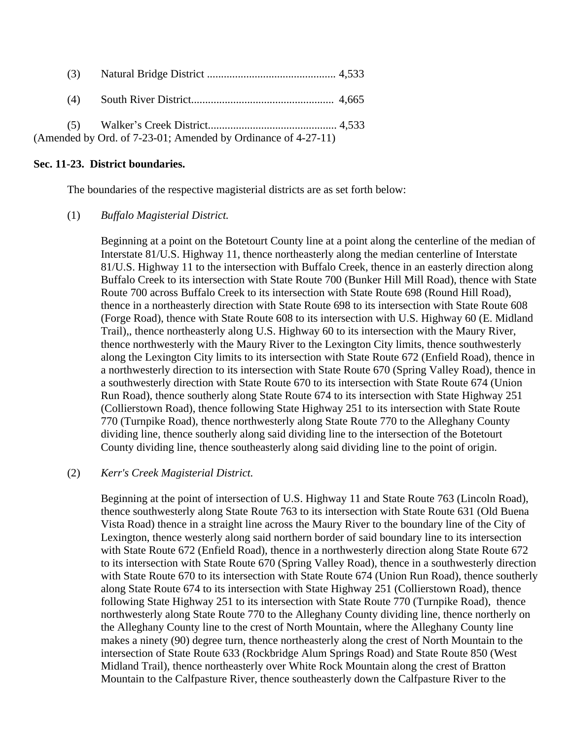| (3) |                                                               |  |
|-----|---------------------------------------------------------------|--|
| (4) |                                                               |  |
|     |                                                               |  |
|     | (Amended by Ord. of 7-23-01; Amended by Ordinance of 4-27-11) |  |

### **Sec. 11-23. District boundaries.**

The boundaries of the respective magisterial districts are as set forth below:

### (1) *Buffalo Magisterial District.*

Beginning at a point on the Botetourt County line at a point along the centerline of the median of Interstate 81/U.S. Highway 11, thence northeasterly along the median centerline of Interstate 81/U.S. Highway 11 to the intersection with Buffalo Creek, thence in an easterly direction along Buffalo Creek to its intersection with State Route 700 (Bunker Hill Mill Road), thence with State Route 700 across Buffalo Creek to its intersection with State Route 698 (Round Hill Road), thence in a northeasterly direction with State Route 698 to its intersection with State Route 608 (Forge Road), thence with State Route 608 to its intersection with U.S. Highway 60 (E. Midland Trail),, thence northeasterly along U.S. Highway 60 to its intersection with the Maury River, thence northwesterly with the Maury River to the Lexington City limits, thence southwesterly along the Lexington City limits to its intersection with State Route 672 (Enfield Road), thence in a northwesterly direction to its intersection with State Route 670 (Spring Valley Road), thence in a southwesterly direction with State Route 670 to its intersection with State Route 674 (Union Run Road), thence southerly along State Route 674 to its intersection with State Highway 251 (Collierstown Road), thence following State Highway 251 to its intersection with State Route 770 (Turnpike Road), thence northwesterly along State Route 770 to the Alleghany County dividing line, thence southerly along said dividing line to the intersection of the Botetourt County dividing line, thence southeasterly along said dividing line to the point of origin.

## (2) *Kerr's Creek Magisterial District.*

Beginning at the point of intersection of U.S. Highway 11 and State Route 763 (Lincoln Road), thence southwesterly along State Route 763 to its intersection with State Route 631 (Old Buena Vista Road) thence in a straight line across the Maury River to the boundary line of the City of Lexington, thence westerly along said northern border of said boundary line to its intersection with State Route 672 (Enfield Road), thence in a northwesterly direction along State Route 672 to its intersection with State Route 670 (Spring Valley Road), thence in a southwesterly direction with State Route 670 to its intersection with State Route 674 (Union Run Road), thence southerly along State Route 674 to its intersection with State Highway 251 (Collierstown Road), thence following State Highway 251 to its intersection with State Route 770 (Turnpike Road), thence northwesterly along State Route 770 to the Alleghany County dividing line, thence northerly on the Alleghany County line to the crest of North Mountain, where the Alleghany County line makes a ninety (90) degree turn, thence northeasterly along the crest of North Mountain to the intersection of State Route 633 (Rockbridge Alum Springs Road) and State Route 850 (West Midland Trail), thence northeasterly over White Rock Mountain along the crest of Bratton Mountain to the Calfpasture River, thence southeasterly down the Calfpasture River to the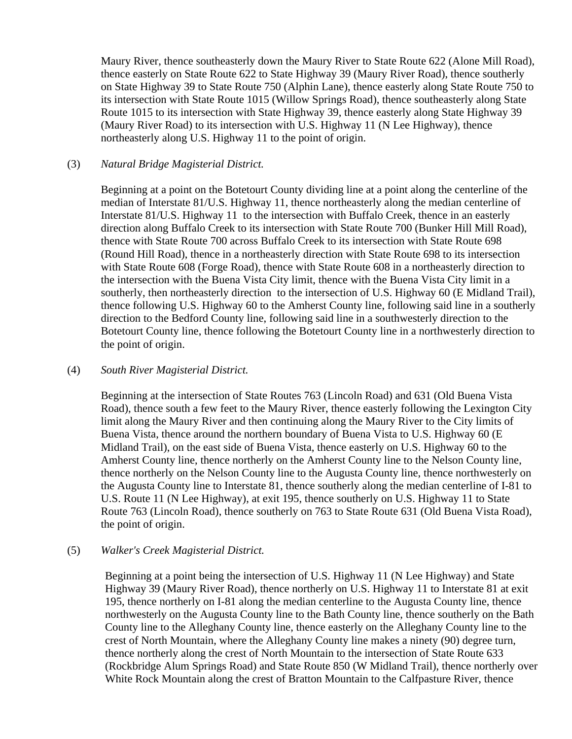Maury River, thence southeasterly down the Maury River to State Route 622 (Alone Mill Road), thence easterly on State Route 622 to State Highway 39 (Maury River Road), thence southerly on State Highway 39 to State Route 750 (Alphin Lane), thence easterly along State Route 750 to its intersection with State Route 1015 (Willow Springs Road), thence southeasterly along State Route 1015 to its intersection with State Highway 39, thence easterly along State Highway 39 (Maury River Road) to its intersection with U.S. Highway 11 (N Lee Highway), thence northeasterly along U.S. Highway 11 to the point of origin.

## (3) *Natural Bridge Magisterial District.*

Beginning at a point on the Botetourt County dividing line at a point along the centerline of the median of Interstate 81/U.S. Highway 11, thence northeasterly along the median centerline of Interstate 81/U.S. Highway 11 to the intersection with Buffalo Creek, thence in an easterly direction along Buffalo Creek to its intersection with State Route 700 (Bunker Hill Mill Road), thence with State Route 700 across Buffalo Creek to its intersection with State Route 698 (Round Hill Road), thence in a northeasterly direction with State Route 698 to its intersection with State Route 608 (Forge Road), thence with State Route 608 in a northeasterly direction to the intersection with the Buena Vista City limit, thence with the Buena Vista City limit in a southerly, then northeasterly direction to the intersection of U.S. Highway 60 (E Midland Trail), thence following U.S. Highway 60 to the Amherst County line, following said line in a southerly direction to the Bedford County line, following said line in a southwesterly direction to the Botetourt County line, thence following the Botetourt County line in a northwesterly direction to the point of origin.

## (4) *South River Magisterial District.*

Beginning at the intersection of State Routes 763 (Lincoln Road) and 631 (Old Buena Vista Road), thence south a few feet to the Maury River, thence easterly following the Lexington City limit along the Maury River and then continuing along the Maury River to the City limits of Buena Vista, thence around the northern boundary of Buena Vista to U.S. Highway 60 (E Midland Trail), on the east side of Buena Vista, thence easterly on U.S. Highway 60 to the Amherst County line, thence northerly on the Amherst County line to the Nelson County line, thence northerly on the Nelson County line to the Augusta County line, thence northwesterly on the Augusta County line to Interstate 81, thence southerly along the median centerline of I-81 to U.S. Route 11 (N Lee Highway), at exit 195, thence southerly on U.S. Highway 11 to State Route 763 (Lincoln Road), thence southerly on 763 to State Route 631 (Old Buena Vista Road), the point of origin.

## (5) *Walker's Creek Magisterial District.*

Beginning at a point being the intersection of U.S. Highway 11 (N Lee Highway) and State Highway 39 (Maury River Road), thence northerly on U.S. Highway 11 to Interstate 81 at exit 195, thence northerly on I-81 along the median centerline to the Augusta County line, thence northwesterly on the Augusta County line to the Bath County line, thence southerly on the Bath County line to the Alleghany County line, thence easterly on the Alleghany County line to the crest of North Mountain, where the Alleghany County line makes a ninety (90) degree turn, thence northerly along the crest of North Mountain to the intersection of State Route 633 (Rockbridge Alum Springs Road) and State Route 850 (W Midland Trail), thence northerly over White Rock Mountain along the crest of Bratton Mountain to the Calfpasture River, thence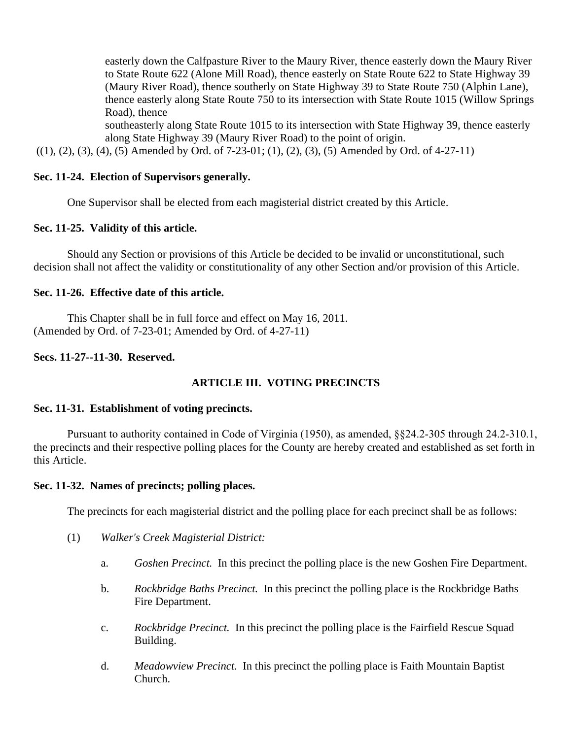easterly down the Calfpasture River to the Maury River, thence easterly down the Maury River to State Route 622 (Alone Mill Road), thence easterly on State Route 622 to State Highway 39 (Maury River Road), thence southerly on State Highway 39 to State Route 750 (Alphin Lane), thence easterly along State Route 750 to its intersection with State Route 1015 (Willow Springs Road), thence

southeasterly along State Route 1015 to its intersection with State Highway 39, thence easterly along State Highway 39 (Maury River Road) to the point of origin.

 $((1), (2), (3), (4), (5)$  Amended by Ord. of 7-23-01; (1), (2), (3), (5) Amended by Ord. of 4-27-11)

## **Sec. 11-24. Election of Supervisors generally.**

One Supervisor shall be elected from each magisterial district created by this Article.

## **Sec. 11-25. Validity of this article.**

Should any Section or provisions of this Article be decided to be invalid or unconstitutional, such decision shall not affect the validity or constitutionality of any other Section and/or provision of this Article.

## **Sec. 11-26. Effective date of this article.**

This Chapter shall be in full force and effect on May 16, 2011. (Amended by Ord. of 7-23-01; Amended by Ord. of 4-27-11)

## **Secs. 11-27--11-30. Reserved.**

# **ARTICLE III. VOTING PRECINCTS**

## **Sec. 11-31. Establishment of voting precincts.**

Pursuant to authority contained in Code of Virginia (1950), as amended, §§24.2-305 through 24.2-310.1, the precincts and their respective polling places for the County are hereby created and established as set forth in this Article.

## **Sec. 11-32. Names of precincts; polling places.**

The precincts for each magisterial district and the polling place for each precinct shall be as follows:

- (1) *Walker's Creek Magisterial District:*
	- a. *Goshen Precinct.* In this precinct the polling place is the new Goshen Fire Department.
	- b. *Rockbridge Baths Precinct.* In this precinct the polling place is the Rockbridge Baths Fire Department.
	- c. *Rockbridge Precinct.* In this precinct the polling place is the Fairfield Rescue Squad Building.
	- d. *Meadowview Precinct.* In this precinct the polling place is Faith Mountain Baptist Church.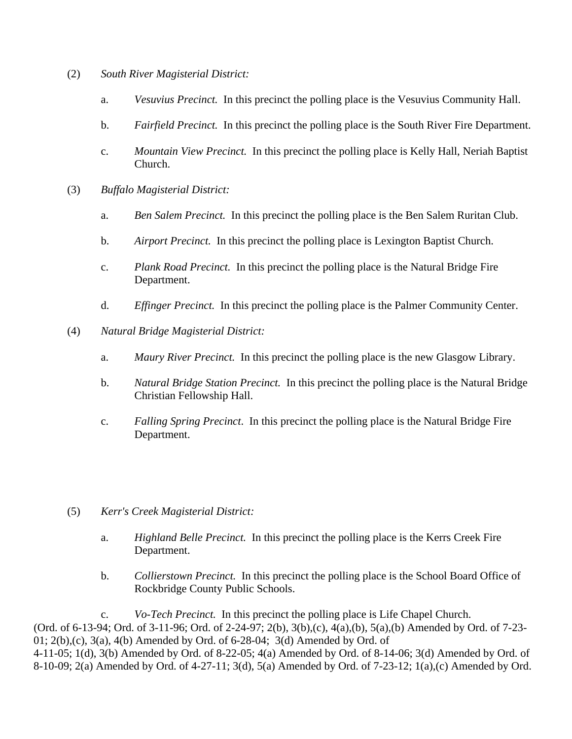- (2) *South River Magisterial District:*
	- a. *Vesuvius Precinct.* In this precinct the polling place is the Vesuvius Community Hall.
	- b. *Fairfield Precinct.* In this precinct the polling place is the South River Fire Department.
	- c. *Mountain View Precinct.* In this precinct the polling place is Kelly Hall, Neriah Baptist Church.
- (3) *Buffalo Magisterial District:*
	- a. *Ben Salem Precinct.* In this precinct the polling place is the Ben Salem Ruritan Club.
	- b. *Airport Precinct.* In this precinct the polling place is Lexington Baptist Church.
	- c. *Plank Road Precinct.* In this precinct the polling place is the Natural Bridge Fire Department.
	- d. *Effinger Precinct.* In this precinct the polling place is the Palmer Community Center.
- (4) *Natural Bridge Magisterial District:*
	- a. *Maury River Precinct.* In this precinct the polling place is the new Glasgow Library.
	- b. *Natural Bridge Station Precinct.* In this precinct the polling place is the Natural Bridge Christian Fellowship Hall.
	- c. *Falling Spring Precinct*. In this precinct the polling place is the Natural Bridge Fire Department.
- (5) *Kerr's Creek Magisterial District:*
	- a. *Highland Belle Precinct.* In this precinct the polling place is the Kerrs Creek Fire Department.
	- b. *Collierstown Precinct.* In this precinct the polling place is the School Board Office of Rockbridge County Public Schools.

c. *Vo-Tech Precinct.* In this precinct the polling place is Life Chapel Church. (Ord. of 6-13-94; Ord. of 3-11-96; Ord. of 2-24-97; 2(b), 3(b),(c), 4(a),(b), 5(a),(b) Amended by Ord. of 7-23- 01;  $2(b)$ , (c),  $3(a)$ ,  $4(b)$  Amended by Ord. of 6-28-04;  $3(d)$  Amended by Ord. of 4-11-05; 1(d), 3(b) Amended by Ord. of 8-22-05; 4(a) Amended by Ord. of 8-14-06; 3(d) Amended by Ord. of 8-10-09; 2(a) Amended by Ord. of 4-27-11; 3(d), 5(a) Amended by Ord. of 7-23-12; 1(a),(c) Amended by Ord.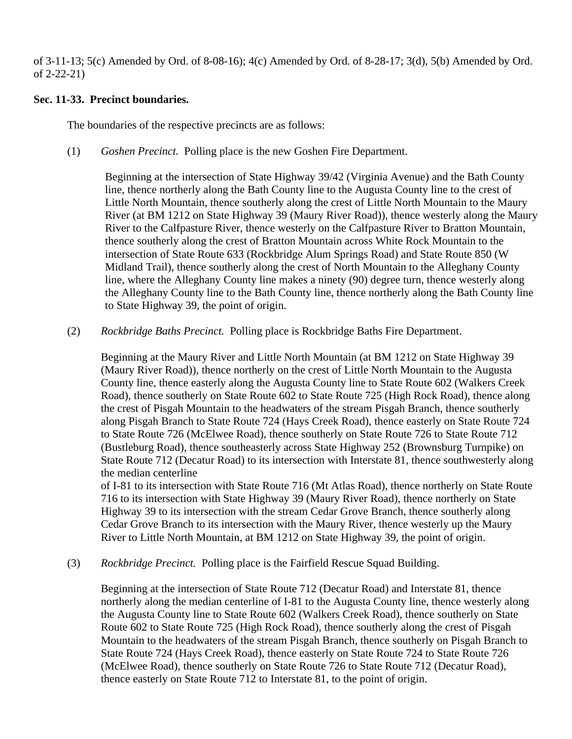of 3-11-13; 5(c) Amended by Ord. of 8-08-16); 4(c) Amended by Ord. of 8-28-17; 3(d), 5(b) Amended by Ord. of 2-22-21)

## **Sec. 11-33. Precinct boundaries.**

The boundaries of the respective precincts are as follows:

(1) *Goshen Precinct.* Polling place is the new Goshen Fire Department.

Beginning at the intersection of State Highway 39/42 (Virginia Avenue) and the Bath County line, thence northerly along the Bath County line to the Augusta County line to the crest of Little North Mountain, thence southerly along the crest of Little North Mountain to the Maury River (at BM 1212 on State Highway 39 (Maury River Road)), thence westerly along the Maury River to the Calfpasture River, thence westerly on the Calfpasture River to Bratton Mountain, thence southerly along the crest of Bratton Mountain across White Rock Mountain to the intersection of State Route 633 (Rockbridge Alum Springs Road) and State Route 850 (W Midland Trail), thence southerly along the crest of North Mountain to the Alleghany County line, where the Alleghany County line makes a ninety (90) degree turn, thence westerly along the Alleghany County line to the Bath County line, thence northerly along the Bath County line to State Highway 39, the point of origin.

(2) *Rockbridge Baths Precinct.* Polling place is Rockbridge Baths Fire Department.

Beginning at the Maury River and Little North Mountain (at BM 1212 on State Highway 39 (Maury River Road)), thence northerly on the crest of Little North Mountain to the Augusta County line, thence easterly along the Augusta County line to State Route 602 (Walkers Creek Road), thence southerly on State Route 602 to State Route 725 (High Rock Road), thence along the crest of Pisgah Mountain to the headwaters of the stream Pisgah Branch, thence southerly along Pisgah Branch to State Route 724 (Hays Creek Road), thence easterly on State Route 724 to State Route 726 (McElwee Road), thence southerly on State Route 726 to State Route 712 (Bustleburg Road), thence southeasterly across State Highway 252 (Brownsburg Turnpike) on State Route 712 (Decatur Road) to its intersection with Interstate 81, thence southwesterly along the median centerline

of I-81 to its intersection with State Route 716 (Mt Atlas Road), thence northerly on State Route 716 to its intersection with State Highway 39 (Maury River Road), thence northerly on State Highway 39 to its intersection with the stream Cedar Grove Branch, thence southerly along Cedar Grove Branch to its intersection with the Maury River, thence westerly up the Maury River to Little North Mountain, at BM 1212 on State Highway 39, the point of origin.

(3) *Rockbridge Precinct.* Polling place is the Fairfield Rescue Squad Building.

Beginning at the intersection of State Route 712 (Decatur Road) and Interstate 81, thence northerly along the median centerline of I-81 to the Augusta County line, thence westerly along the Augusta County line to State Route 602 (Walkers Creek Road), thence southerly on State Route 602 to State Route 725 (High Rock Road), thence southerly along the crest of Pisgah Mountain to the headwaters of the stream Pisgah Branch, thence southerly on Pisgah Branch to State Route 724 (Hays Creek Road), thence easterly on State Route 724 to State Route 726 (McElwee Road), thence southerly on State Route 726 to State Route 712 (Decatur Road), thence easterly on State Route 712 to Interstate 81, to the point of origin.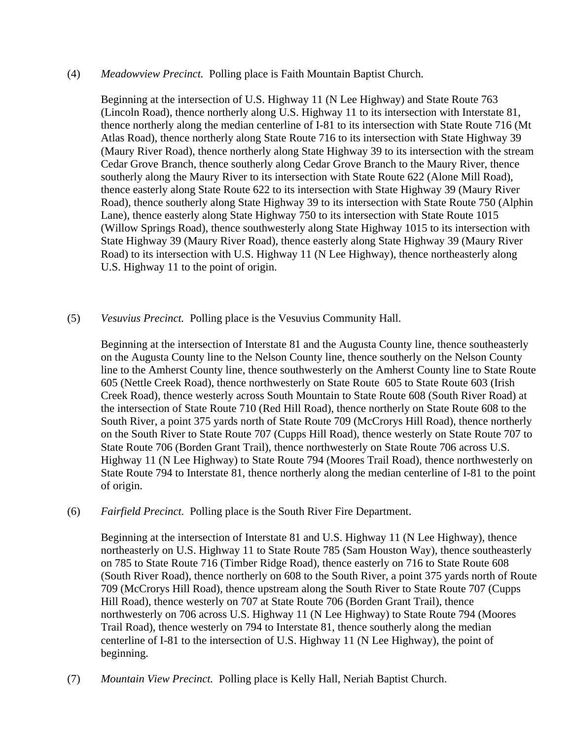### (4) *Meadowview Precinct.* Polling place is Faith Mountain Baptist Church.

Beginning at the intersection of U.S. Highway 11 (N Lee Highway) and State Route 763 (Lincoln Road), thence northerly along U.S. Highway 11 to its intersection with Interstate 81, thence northerly along the median centerline of I-81 to its intersection with State Route 716 (Mt Atlas Road), thence northerly along State Route 716 to its intersection with State Highway 39 (Maury River Road), thence northerly along State Highway 39 to its intersection with the stream Cedar Grove Branch, thence southerly along Cedar Grove Branch to the Maury River, thence southerly along the Maury River to its intersection with State Route 622 (Alone Mill Road), thence easterly along State Route 622 to its intersection with State Highway 39 (Maury River Road), thence southerly along State Highway 39 to its intersection with State Route 750 (Alphin Lane), thence easterly along State Highway 750 to its intersection with State Route 1015 (Willow Springs Road), thence southwesterly along State Highway 1015 to its intersection with State Highway 39 (Maury River Road), thence easterly along State Highway 39 (Maury River Road) to its intersection with U.S. Highway 11 (N Lee Highway), thence northeasterly along U.S. Highway 11 to the point of origin.

## (5) *Vesuvius Precinct.* Polling place is the Vesuvius Community Hall.

Beginning at the intersection of Interstate 81 and the Augusta County line, thence southeasterly on the Augusta County line to the Nelson County line, thence southerly on the Nelson County line to the Amherst County line, thence southwesterly on the Amherst County line to State Route 605 (Nettle Creek Road), thence northwesterly on State Route 605 to State Route 603 (Irish Creek Road), thence westerly across South Mountain to State Route 608 (South River Road) at the intersection of State Route 710 (Red Hill Road), thence northerly on State Route 608 to the South River, a point 375 yards north of State Route 709 (McCrorys Hill Road), thence northerly on the South River to State Route 707 (Cupps Hill Road), thence westerly on State Route 707 to State Route 706 (Borden Grant Trail), thence northwesterly on State Route 706 across U.S. Highway 11 (N Lee Highway) to State Route 794 (Moores Trail Road), thence northwesterly on State Route 794 to Interstate 81, thence northerly along the median centerline of I-81 to the point of origin.

## (6) *Fairfield Precinct.* Polling place is the South River Fire Department.

Beginning at the intersection of Interstate 81 and U.S. Highway 11 (N Lee Highway), thence northeasterly on U.S. Highway 11 to State Route 785 (Sam Houston Way), thence southeasterly on 785 to State Route 716 (Timber Ridge Road), thence easterly on 716 to State Route 608 (South River Road), thence northerly on 608 to the South River, a point 375 yards north of Route 709 (McCrorys Hill Road), thence upstream along the South River to State Route 707 (Cupps Hill Road), thence westerly on 707 at State Route 706 (Borden Grant Trail), thence northwesterly on 706 across U.S. Highway 11 (N Lee Highway) to State Route 794 (Moores Trail Road), thence westerly on 794 to Interstate 81, thence southerly along the median centerline of I-81 to the intersection of U.S. Highway 11 (N Lee Highway), the point of beginning.

(7) *Mountain View Precinct.* Polling place is Kelly Hall, Neriah Baptist Church.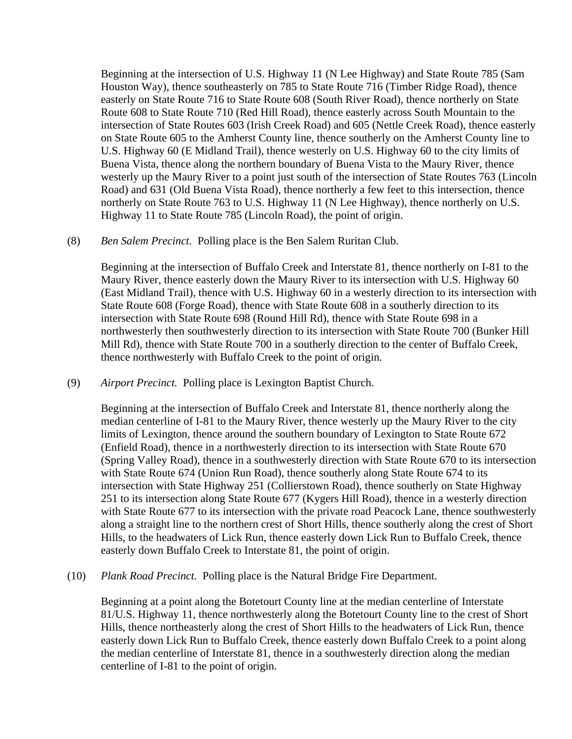Beginning at the intersection of U.S. Highway 11 (N Lee Highway) and State Route 785 (Sam Houston Way), thence southeasterly on 785 to State Route 716 (Timber Ridge Road), thence easterly on State Route 716 to State Route 608 (South River Road), thence northerly on State Route 608 to State Route 710 (Red Hill Road), thence easterly across South Mountain to the intersection of State Routes 603 (Irish Creek Road) and 605 (Nettle Creek Road), thence easterly on State Route 605 to the Amherst County line, thence southerly on the Amherst County line to U.S. Highway 60 (E Midland Trail), thence westerly on U.S. Highway 60 to the city limits of Buena Vista, thence along the northern boundary of Buena Vista to the Maury River, thence westerly up the Maury River to a point just south of the intersection of State Routes 763 (Lincoln Road) and 631 (Old Buena Vista Road), thence northerly a few feet to this intersection, thence northerly on State Route 763 to U.S. Highway 11 (N Lee Highway), thence northerly on U.S. Highway 11 to State Route 785 (Lincoln Road), the point of origin.

(8) *Ben Salem Precinct.* Polling place is the Ben Salem Ruritan Club.

Beginning at the intersection of Buffalo Creek and Interstate 81, thence northerly on I-81 to the Maury River, thence easterly down the Maury River to its intersection with U.S. Highway 60 (East Midland Trail), thence with U.S. Highway 60 in a westerly direction to its intersection with State Route 608 (Forge Road), thence with State Route 608 in a southerly direction to its intersection with State Route 698 (Round Hill Rd), thence with State Route 698 in a northwesterly then southwesterly direction to its intersection with State Route 700 (Bunker Hill Mill Rd), thence with State Route 700 in a southerly direction to the center of Buffalo Creek, thence northwesterly with Buffalo Creek to the point of origin.

(9) *Airport Precinct.* Polling place is Lexington Baptist Church.

Beginning at the intersection of Buffalo Creek and Interstate 81, thence northerly along the median centerline of I-81 to the Maury River, thence westerly up the Maury River to the city limits of Lexington, thence around the southern boundary of Lexington to State Route 672 (Enfield Road), thence in a northwesterly direction to its intersection with State Route 670 (Spring Valley Road), thence in a southwesterly direction with State Route 670 to its intersection with State Route 674 (Union Run Road), thence southerly along State Route 674 to its intersection with State Highway 251 (Collierstown Road), thence southerly on State Highway 251 to its intersection along State Route 677 (Kygers Hill Road), thence in a westerly direction with State Route 677 to its intersection with the private road Peacock Lane, thence southwesterly along a straight line to the northern crest of Short Hills, thence southerly along the crest of Short Hills, to the headwaters of Lick Run, thence easterly down Lick Run to Buffalo Creek, thence easterly down Buffalo Creek to Interstate 81, the point of origin.

(10) *Plank Road Precinct.* Polling place is the Natural Bridge Fire Department.

Beginning at a point along the Botetourt County line at the median centerline of Interstate 81/U.S. Highway 11, thence northwesterly along the Botetourt County line to the crest of Short Hills, thence northeasterly along the crest of Short Hills to the headwaters of Lick Run, thence easterly down Lick Run to Buffalo Creek, thence easterly down Buffalo Creek to a point along the median centerline of Interstate 81, thence in a southwesterly direction along the median centerline of I-81 to the point of origin.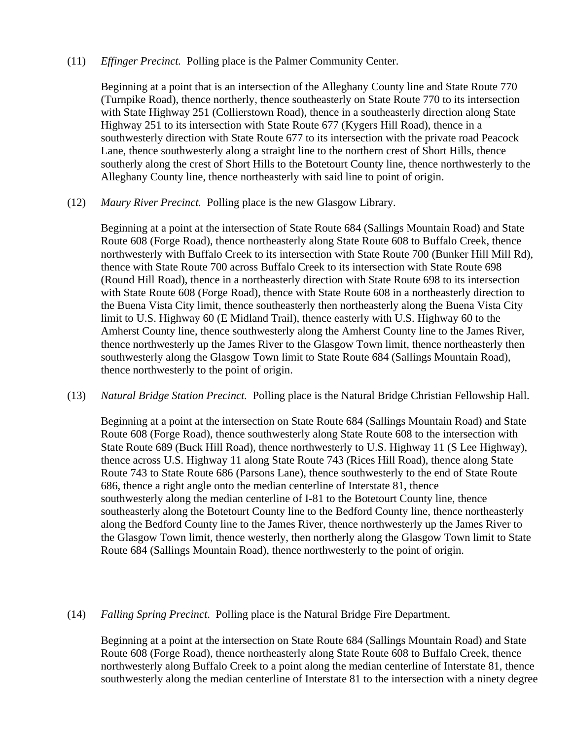### (11) *Effinger Precinct.* Polling place is the Palmer Community Center.

Beginning at a point that is an intersection of the Alleghany County line and State Route 770 (Turnpike Road), thence northerly, thence southeasterly on State Route 770 to its intersection with State Highway 251 (Collierstown Road), thence in a southeasterly direction along State Highway 251 to its intersection with State Route 677 (Kygers Hill Road), thence in a southwesterly direction with State Route 677 to its intersection with the private road Peacock Lane, thence southwesterly along a straight line to the northern crest of Short Hills, thence southerly along the crest of Short Hills to the Botetourt County line, thence northwesterly to the Alleghany County line, thence northeasterly with said line to point of origin.

(12) *Maury River Precinct.* Polling place is the new Glasgow Library.

Beginning at a point at the intersection of State Route 684 (Sallings Mountain Road) and State Route 608 (Forge Road), thence northeasterly along State Route 608 to Buffalo Creek, thence northwesterly with Buffalo Creek to its intersection with State Route 700 (Bunker Hill Mill Rd), thence with State Route 700 across Buffalo Creek to its intersection with State Route 698 (Round Hill Road), thence in a northeasterly direction with State Route 698 to its intersection with State Route 608 (Forge Road), thence with State Route 608 in a northeasterly direction to the Buena Vista City limit, thence southeasterly then northeasterly along the Buena Vista City limit to U.S. Highway 60 (E Midland Trail), thence easterly with U.S. Highway 60 to the Amherst County line, thence southwesterly along the Amherst County line to the James River, thence northwesterly up the James River to the Glasgow Town limit, thence northeasterly then southwesterly along the Glasgow Town limit to State Route 684 (Sallings Mountain Road), thence northwesterly to the point of origin.

(13) *Natural Bridge Station Precinct.* Polling place is the Natural Bridge Christian Fellowship Hall.

Beginning at a point at the intersection on State Route 684 (Sallings Mountain Road) and State Route 608 (Forge Road), thence southwesterly along State Route 608 to the intersection with State Route 689 (Buck Hill Road), thence northwesterly to U.S. Highway 11 (S Lee Highway), thence across U.S. Highway 11 along State Route 743 (Rices Hill Road), thence along State Route 743 to State Route 686 (Parsons Lane), thence southwesterly to the end of State Route 686, thence a right angle onto the median centerline of Interstate 81, thence southwesterly along the median centerline of I-81 to the Botetourt County line, thence southeasterly along the Botetourt County line to the Bedford County line, thence northeasterly along the Bedford County line to the James River, thence northwesterly up the James River to the Glasgow Town limit, thence westerly, then northerly along the Glasgow Town limit to State Route 684 (Sallings Mountain Road), thence northwesterly to the point of origin.

## (14) *Falling Spring Precinct*. Polling place is the Natural Bridge Fire Department.

Beginning at a point at the intersection on State Route 684 (Sallings Mountain Road) and State Route 608 (Forge Road), thence northeasterly along State Route 608 to Buffalo Creek, thence northwesterly along Buffalo Creek to a point along the median centerline of Interstate 81, thence southwesterly along the median centerline of Interstate 81 to the intersection with a ninety degree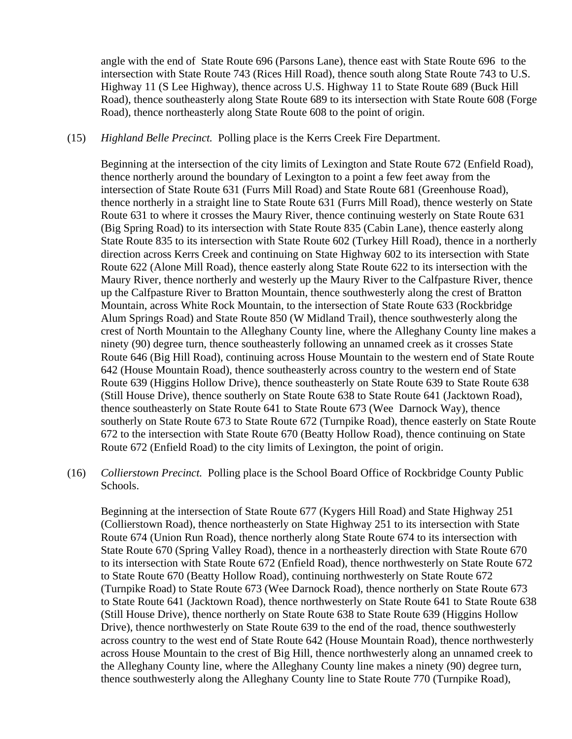angle with the end of State Route 696 (Parsons Lane), thence east with State Route 696 to the intersection with State Route 743 (Rices Hill Road), thence south along State Route 743 to U.S. Highway 11 (S Lee Highway), thence across U.S. Highway 11 to State Route 689 (Buck Hill Road), thence southeasterly along State Route 689 to its intersection with State Route 608 (Forge Road), thence northeasterly along State Route 608 to the point of origin.

(15) *Highland Belle Precinct.* Polling place is the Kerrs Creek Fire Department.

Beginning at the intersection of the city limits of Lexington and State Route 672 (Enfield Road), thence northerly around the boundary of Lexington to a point a few feet away from the intersection of State Route 631 (Furrs Mill Road) and State Route 681 (Greenhouse Road), thence northerly in a straight line to State Route 631 (Furrs Mill Road), thence westerly on State Route 631 to where it crosses the Maury River, thence continuing westerly on State Route 631 (Big Spring Road) to its intersection with State Route 835 (Cabin Lane), thence easterly along State Route 835 to its intersection with State Route 602 (Turkey Hill Road), thence in a northerly direction across Kerrs Creek and continuing on State Highway 602 to its intersection with State Route 622 (Alone Mill Road), thence easterly along State Route 622 to its intersection with the Maury River, thence northerly and westerly up the Maury River to the Calfpasture River, thence up the Calfpasture River to Bratton Mountain, thence southwesterly along the crest of Bratton Mountain, across White Rock Mountain, to the intersection of State Route 633 (Rockbridge Alum Springs Road) and State Route 850 (W Midland Trail), thence southwesterly along the crest of North Mountain to the Alleghany County line, where the Alleghany County line makes a ninety (90) degree turn, thence southeasterly following an unnamed creek as it crosses State Route 646 (Big Hill Road), continuing across House Mountain to the western end of State Route 642 (House Mountain Road), thence southeasterly across country to the western end of State Route 639 (Higgins Hollow Drive), thence southeasterly on State Route 639 to State Route 638 (Still House Drive), thence southerly on State Route 638 to State Route 641 (Jacktown Road), thence southeasterly on State Route 641 to State Route 673 (Wee Darnock Way), thence southerly on State Route 673 to State Route 672 (Turnpike Road), thence easterly on State Route 672 to the intersection with State Route 670 (Beatty Hollow Road), thence continuing on State Route 672 (Enfield Road) to the city limits of Lexington, the point of origin.

(16) *Collierstown Precinct.* Polling place is the School Board Office of Rockbridge County Public Schools.

Beginning at the intersection of State Route 677 (Kygers Hill Road) and State Highway 251 (Collierstown Road), thence northeasterly on State Highway 251 to its intersection with State Route 674 (Union Run Road), thence northerly along State Route 674 to its intersection with State Route 670 (Spring Valley Road), thence in a northeasterly direction with State Route 670 to its intersection with State Route 672 (Enfield Road), thence northwesterly on State Route 672 to State Route 670 (Beatty Hollow Road), continuing northwesterly on State Route 672 (Turnpike Road) to State Route 673 (Wee Darnock Road), thence northerly on State Route 673 to State Route 641 (Jacktown Road), thence northwesterly on State Route 641 to State Route 638 (Still House Drive), thence northerly on State Route 638 to State Route 639 (Higgins Hollow Drive), thence northwesterly on State Route 639 to the end of the road, thence southwesterly across country to the west end of State Route 642 (House Mountain Road), thence northwesterly across House Mountain to the crest of Big Hill, thence northwesterly along an unnamed creek to the Alleghany County line, where the Alleghany County line makes a ninety (90) degree turn, thence southwesterly along the Alleghany County line to State Route 770 (Turnpike Road),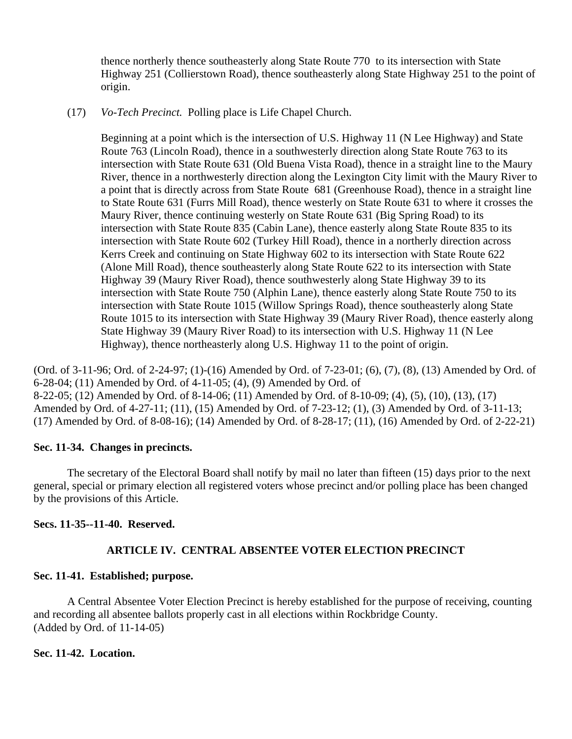thence northerly thence southeasterly along State Route 770 to its intersection with State Highway 251 (Collierstown Road), thence southeasterly along State Highway 251 to the point of origin.

(17) *Vo-Tech Precinct.* Polling place is Life Chapel Church.

Beginning at a point which is the intersection of U.S. Highway 11 (N Lee Highway) and State Route 763 (Lincoln Road), thence in a southwesterly direction along State Route 763 to its intersection with State Route 631 (Old Buena Vista Road), thence in a straight line to the Maury River, thence in a northwesterly direction along the Lexington City limit with the Maury River to a point that is directly across from State Route 681 (Greenhouse Road), thence in a straight line to State Route 631 (Furrs Mill Road), thence westerly on State Route 631 to where it crosses the Maury River, thence continuing westerly on State Route 631 (Big Spring Road) to its intersection with State Route 835 (Cabin Lane), thence easterly along State Route 835 to its intersection with State Route 602 (Turkey Hill Road), thence in a northerly direction across Kerrs Creek and continuing on State Highway 602 to its intersection with State Route 622 (Alone Mill Road), thence southeasterly along State Route 622 to its intersection with State Highway 39 (Maury River Road), thence southwesterly along State Highway 39 to its intersection with State Route 750 (Alphin Lane), thence easterly along State Route 750 to its intersection with State Route 1015 (Willow Springs Road), thence southeasterly along State Route 1015 to its intersection with State Highway 39 (Maury River Road), thence easterly along State Highway 39 (Maury River Road) to its intersection with U.S. Highway 11 (N Lee Highway), thence northeasterly along U.S. Highway 11 to the point of origin.

(Ord. of 3-11-96; Ord. of 2-24-97; (1)-(16) Amended by Ord. of 7-23-01; (6), (7), (8), (13) Amended by Ord. of 6-28-04; (11) Amended by Ord. of 4-11-05; (4), (9) Amended by Ord. of 8-22-05; (12) Amended by Ord. of 8-14-06; (11) Amended by Ord. of 8-10-09; (4), (5), (10), (13), (17) Amended by Ord. of 4-27-11; (11), (15) Amended by Ord. of 7-23-12; (1), (3) Amended by Ord. of 3-11-13; (17) Amended by Ord. of 8-08-16); (14) Amended by Ord. of 8-28-17; (11), (16) Amended by Ord. of 2-22-21)

## **Sec. 11-34. Changes in precincts.**

The secretary of the Electoral Board shall notify by mail no later than fifteen (15) days prior to the next general, special or primary election all registered voters whose precinct and/or polling place has been changed by the provisions of this Article.

# **Secs. 11-35--11-40. Reserved.**

# **ARTICLE IV. CENTRAL ABSENTEE VOTER ELECTION PRECINCT**

# **Sec. 11-41. Established; purpose.**

A Central Absentee Voter Election Precinct is hereby established for the purpose of receiving, counting and recording all absentee ballots properly cast in all elections within Rockbridge County. (Added by Ord. of 11-14-05)

## **Sec. 11-42. Location.**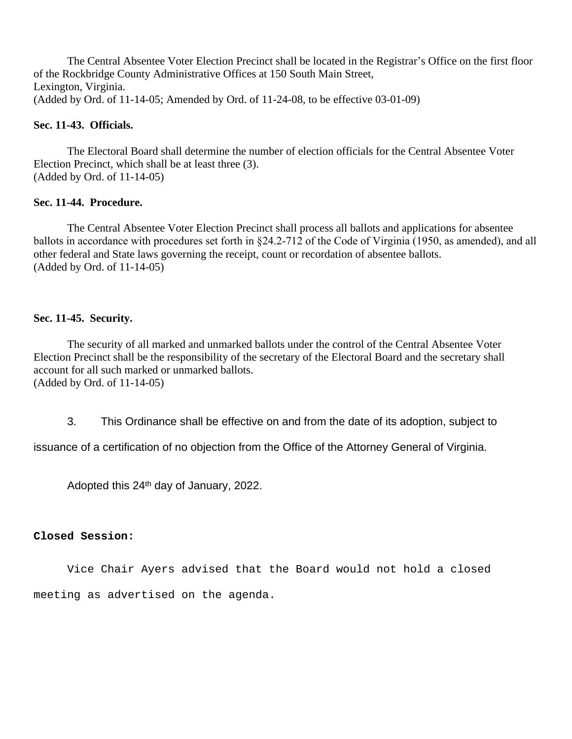The Central Absentee Voter Election Precinct shall be located in the Registrar's Office on the first floor of the Rockbridge County Administrative Offices at 150 South Main Street, Lexington, Virginia. (Added by Ord. of 11-14-05; Amended by Ord. of 11-24-08, to be effective 03-01-09)

### **Sec. 11-43. Officials.**

The Electoral Board shall determine the number of election officials for the Central Absentee Voter Election Precinct, which shall be at least three (3). (Added by Ord. of 11-14-05)

### **Sec. 11-44. Procedure.**

The Central Absentee Voter Election Precinct shall process all ballots and applications for absentee ballots in accordance with procedures set forth in §24.2-712 of the Code of Virginia (1950, as amended), and all other federal and State laws governing the receipt, count or recordation of absentee ballots. (Added by Ord. of 11-14-05)

## **Sec. 11-45. Security.**

The security of all marked and unmarked ballots under the control of the Central Absentee Voter Election Precinct shall be the responsibility of the secretary of the Electoral Board and the secretary shall account for all such marked or unmarked ballots. (Added by Ord. of 11-14-05)

3. This Ordinance shall be effective on and from the date of its adoption, subject to

issuance of a certification of no objection from the Office of the Attorney General of Virginia.

Adopted this 24th day of January, 2022.

## **Closed Session:**

Vice Chair Ayers advised that the Board would not hold a closed meeting as advertised on the agenda.